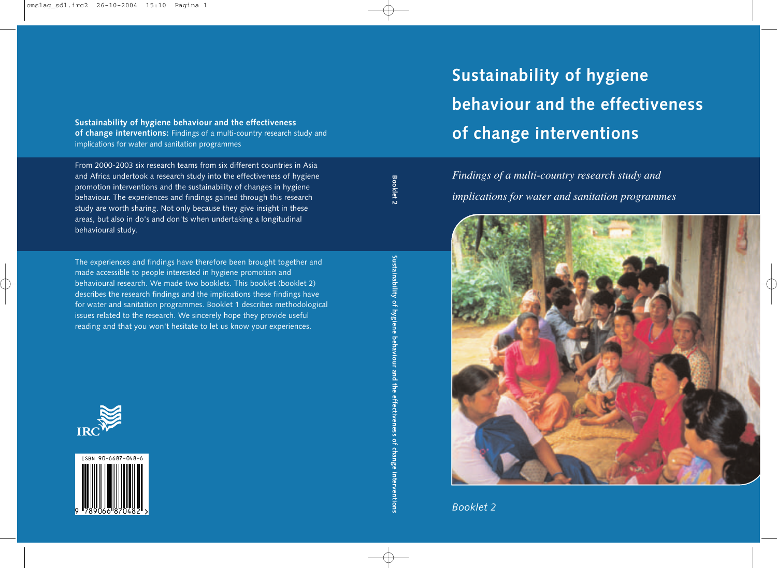**Sustainability of hygiene behaviour and the effectiveness of change interventions:** Findings of a multi-country research study and implications for water and sanitation programmes

From 2000-2003 six research teams from six different countries in Asia and Africa undertook a research study into the effectiveness of hygiene promotion interventions and the sustainability of changes in hygiene behaviour. The experiences and findings gained through this research study are worth sharing. Not only because they give insight in these areas, but also in do's and don'ts when undertaking a longitudinal behavioural study.

The experiences and findings have therefore been brought together and made accessible to people interested in hygiene promotion and behavioural research. We made two booklets. This booklet (booklet 2) describes the research findings and the implications these findings have for water and sanitation programmes. Booklet 1 describes methodological issues related to the research. We sincerely hope they provide useful reading and that you won't hesitate to let us know your experiences.

**Booklet 2 Sustainability of hygiene behaviour and the effectiveness of change interventions** Sustainability of hygiene beh

Booklet<sub>2</sub>

# **Sustainability of hygiene behaviour and the effectiveness of change interventions**

*Findings of a multi-country research study and implications for water and sanitation programmes* 



*Booklet 2*



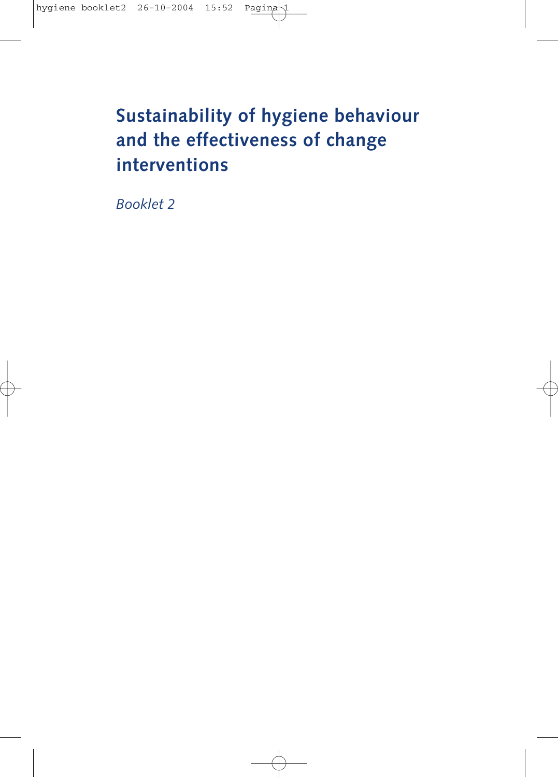# **Sustainability of hygiene behaviour and the effectiveness of change interventions**

*Booklet 2*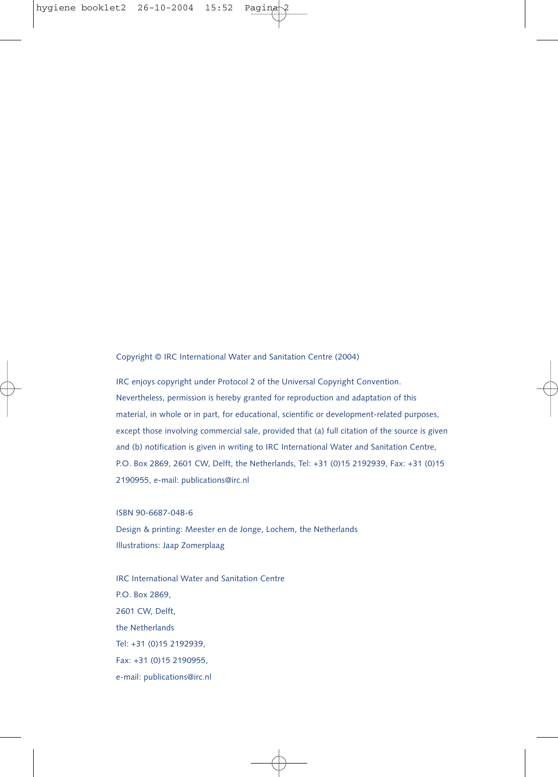Copyright © IRC International Water and Sanitation Centre (2004)

IRC enjoys copyright under Protocol 2 of the Universal Copyright Convention. Nevertheless, permission is hereby granted for reproduction and adaptation of this material, in whole or in part, for educational, scientific or development-related purposes, except those involving commercial sale, provided that (a) full citation of the source is given and (b) notification is given in writing to IRC International Water and Sanitation Centre, P.O. Box 2869, 2601 CW, Delft, the Netherlands, Tel: +31 (0)15 2192939, Fax: +31 (0)15 2190955, e-mail: publications@irc.nl

ISBN 90-6687-048-6

Design & printing: Meester en de Jonge, Lochem, the Netherlands Illustrations: Jaap Zomerplaag

IRC International Water and Sanitation Centre P.O. Box 2869, 2601 CW, Delft, the Netherlands Tel: +31 (0)15 2192939, Fax: +31 (0)15 2190955, e-mail: publications@irc.nl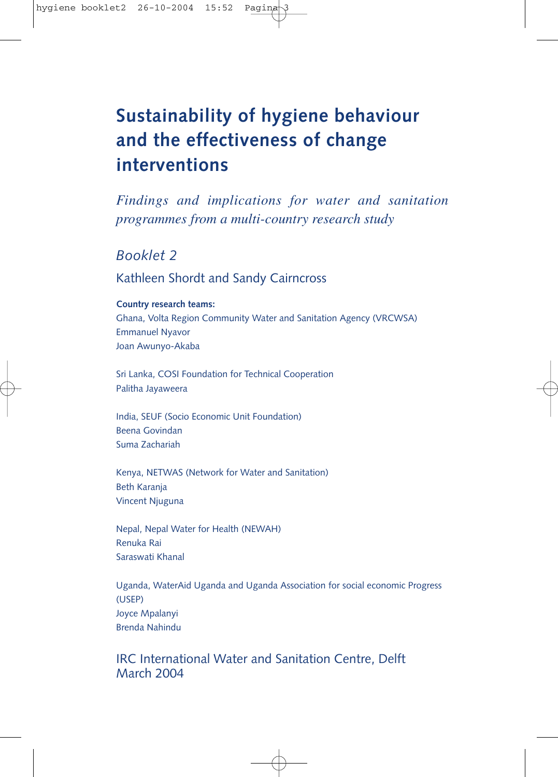## **Sustainability of hygiene behaviour and the effectiveness of change interventions**

*Findings and implications for water and sanitation programmes from a multi-country research study*

#### *Booklet 2*

#### Kathleen Shordt and Sandy Cairncross

#### **Country research teams:**

Ghana, Volta Region Community Water and Sanitation Agency (VRCWSA) Emmanuel Nyavor Joan Awunyo-Akaba

Sri Lanka, COSI Foundation for Technical Cooperation Palitha Jayaweera

India, SEUF (Socio Economic Unit Foundation) Beena Govindan Suma Zachariah

Kenya, NETWAS (Network for Water and Sanitation) Beth Karanja Vincent Njuguna

Nepal, Nepal Water for Health (NEWAH) Renuka Rai Saraswati Khanal

Uganda, WaterAid Uganda and Uganda Association for social economic Progress (USEP) Joyce Mpalanyi Brenda Nahindu

IRC International Water and Sanitation Centre, Delft March 2004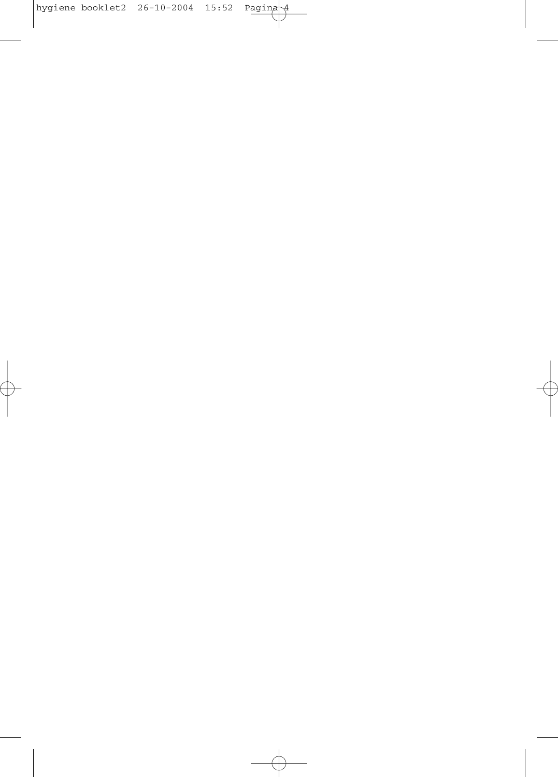hygiene booklet2 26-10-2004 15:52 Pagina 4

 $\overline{\bigoplus}$ 

 $\overrightarrow{P}$ 

 $\displaystyle \bigoplus$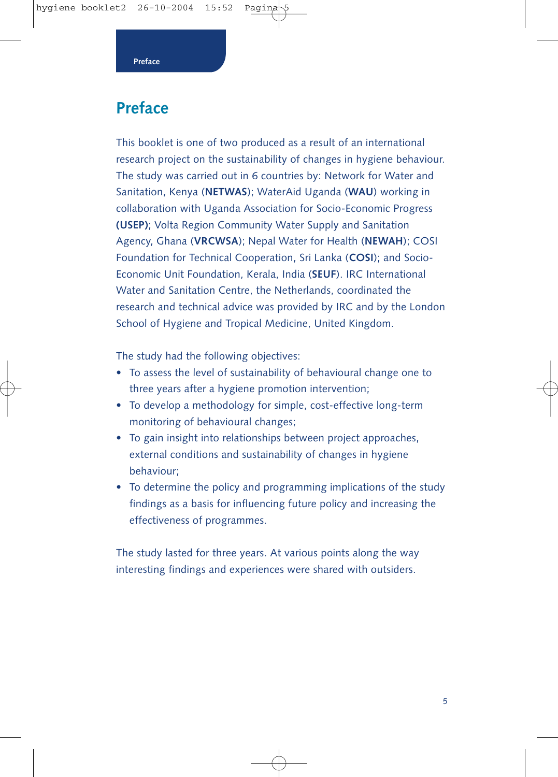#### **Preface**

### **Preface**

This booklet is one of two produced as a result of an international research project on the sustainability of changes in hygiene behaviour. The study was carried out in 6 countries by: Network for Water and Sanitation, Kenya (**NETWAS**); WaterAid Uganda (**WAU**) working in collaboration with Uganda Association for Socio-Economic Progress **(USEP)**; Volta Region Community Water Supply and Sanitation Agency, Ghana (**VRCWSA**); Nepal Water for Health (**NEWAH**); COSI Foundation for Technical Cooperation, Sri Lanka (**COSI**); and Socio-Economic Unit Foundation, Kerala, India (**SEUF**). IRC International Water and Sanitation Centre, the Netherlands, coordinated the research and technical advice was provided by IRC and by the London School of Hygiene and Tropical Medicine, United Kingdom.

The study had the following objectives:

- To assess the level of sustainability of behavioural change one to three years after a hygiene promotion intervention;
- To develop a methodology for simple, cost-effective long-term monitoring of behavioural changes;
- To gain insight into relationships between project approaches, external conditions and sustainability of changes in hygiene behaviour;
- To determine the policy and programming implications of the study findings as a basis for influencing future policy and increasing the effectiveness of programmes.

The study lasted for three years. At various points along the way interesting findings and experiences were shared with outsiders.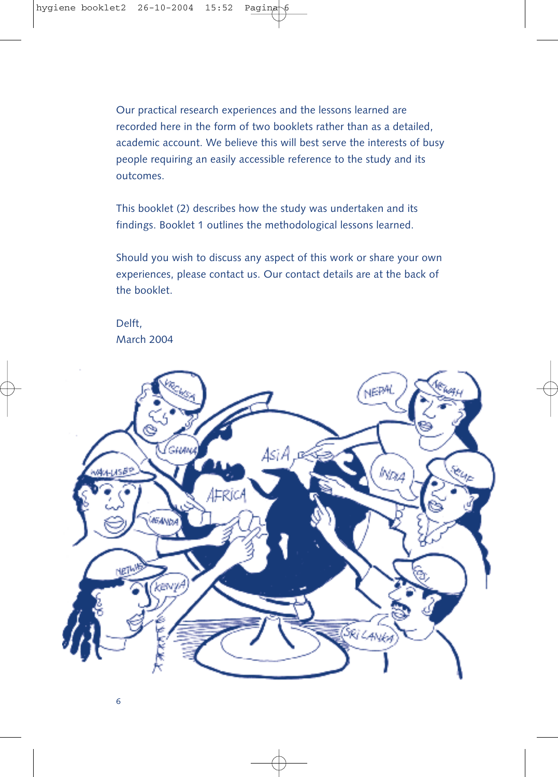Our practical research experiences and the lessons learned are recorded here in the form of two booklets rather than as a detailed, academic account. We believe this will best serve the interests of busy people requiring an easily accessible reference to the study and its outcomes.

This booklet (2) describes how the study was undertaken and its findings. Booklet 1 outlines the methodological lessons learned.

Should you wish to discuss any aspect of this work or share your own experiences, please contact us. Our contact details are at the back of the booklet.

Delft, March 2004

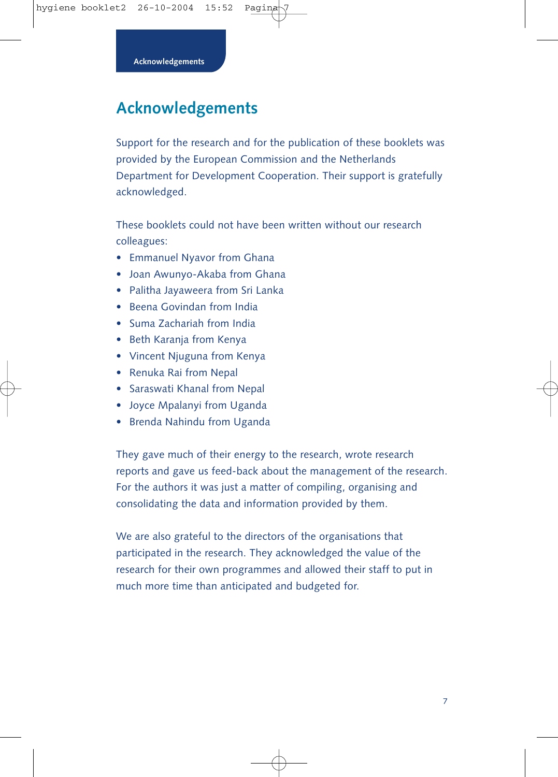**Acknowledgements**

### **Acknowledgements**

Support for the research and for the publication of these booklets was provided by the European Commission and the Netherlands Department for Development Cooperation. Their support is gratefully acknowledged.

These booklets could not have been written without our research colleagues:

- Emmanuel Nyavor from Ghana
- Joan Awunyo-Akaba from Ghana
- Palitha Jayaweera from Sri Lanka
- Beena Govindan from India
- Suma Zachariah from India
- Beth Karanja from Kenya
- Vincent Njuguna from Kenya
- Renuka Rai from Nepal
- Saraswati Khanal from Nepal
- Joyce Mpalanyi from Uganda
- Brenda Nahindu from Uganda

They gave much of their energy to the research, wrote research reports and gave us feed-back about the management of the research. For the authors it was just a matter of compiling, organising and consolidating the data and information provided by them.

We are also grateful to the directors of the organisations that participated in the research. They acknowledged the value of the research for their own programmes and allowed their staff to put in much more time than anticipated and budgeted for.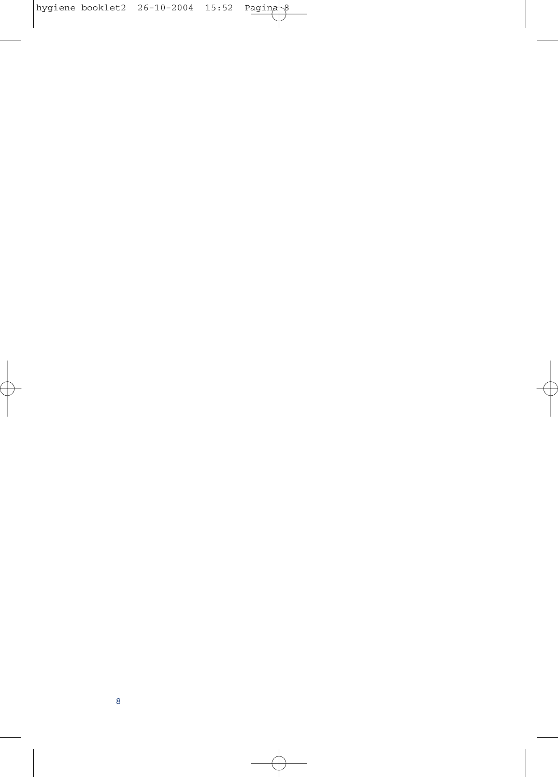hygiene booklet2 26-10-2004 15:52 Pagina 8

8

 $\oplus$ 

 $\bigoplus$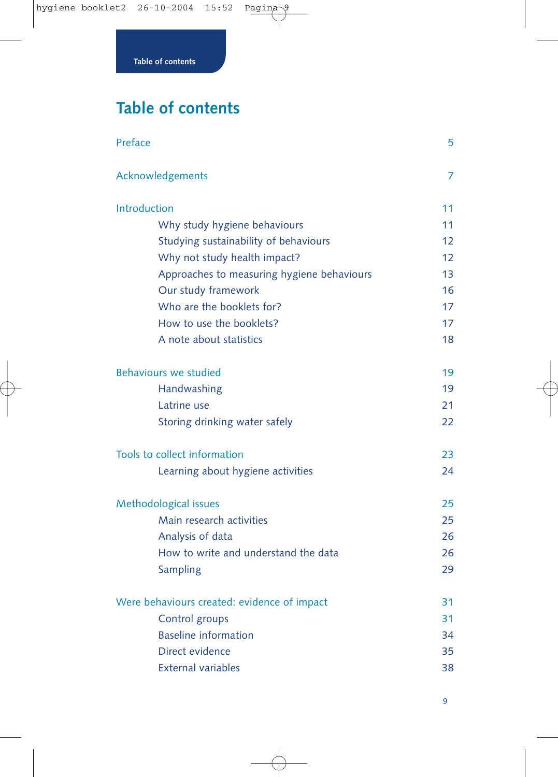**Table of contents**

### **Table of contents**

| Preface                                     | 5  |
|---------------------------------------------|----|
| Acknowledgements                            | 7  |
| Introduction                                | 11 |
| Why study hygiene behaviours                | 11 |
| Studying sustainability of behaviours       | 12 |
| Why not study health impact?                | 12 |
| Approaches to measuring hygiene behaviours  | 13 |
| Our study framework                         | 16 |
| Who are the booklets for?                   | 17 |
| How to use the booklets?                    | 17 |
| A note about statistics                     | 18 |
| <b>Behaviours we studied</b>                | 19 |
| Handwashing                                 | 19 |
| Latrine use                                 | 21 |
| Storing drinking water safely               | 22 |
| Tools to collect information                | 23 |
| Learning about hygiene activities           | 24 |
| Methodological issues                       | 25 |
| Main research activities                    | 25 |
| Analysis of data                            | 26 |
| How to write and understand the data        | 26 |
| Sampling                                    | 29 |
| Were behaviours created: evidence of impact | 31 |
| Control groups                              | 31 |
| <b>Baseline information</b>                 | 34 |
| Direct evidence                             | 35 |
| <b>External variables</b>                   | 38 |
|                                             |    |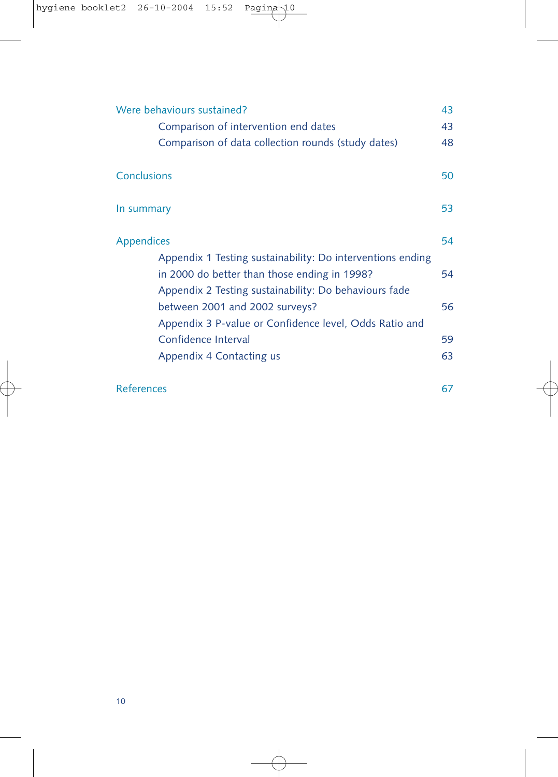| Were behaviours sustained?                                 | 43 |
|------------------------------------------------------------|----|
| Comparison of intervention end dates                       | 43 |
| Comparison of data collection rounds (study dates)         | 48 |
| <b>Conclusions</b>                                         | 50 |
| In summary                                                 | 53 |
|                                                            |    |
| <b>Appendices</b>                                          | 54 |
| Appendix 1 Testing sustainability: Do interventions ending |    |
| in 2000 do better than those ending in 1998?               | 54 |
| Appendix 2 Testing sustainability: Do behaviours fade      |    |
| between 2001 and 2002 surveys?                             | 56 |
| Appendix 3 P-value or Confidence level, Odds Ratio and     |    |
| Confidence Interval                                        | 59 |
| Appendix 4 Contacting us                                   | 63 |
| References                                                 | 67 |

 $\oplus$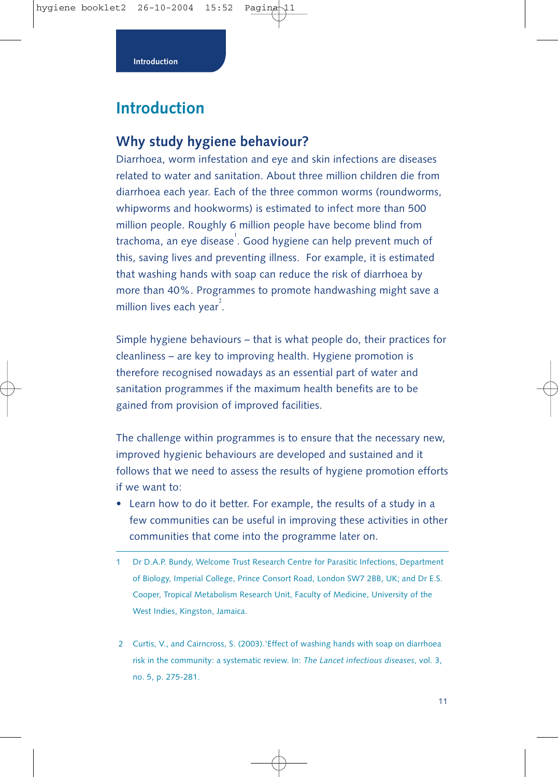#### **Introduction**

### **Introduction**

#### **Why study hygiene behaviour?**

Diarrhoea, worm infestation and eye and skin infections are diseases related to water and sanitation. About three million children die from diarrhoea each year. Each of the three common worms (roundworms, whipworms and hookworms) is estimated to infect more than 500 million people. Roughly 6 million people have become blind from trachoma, an eye disease $^!$ . Good hygiene can help prevent much of this, saving lives and preventing illness. For example, it is estimated that washing hands with soap can reduce the risk of diarrhoea by more than 40%. Programmes to promote handwashing might save a million lives each year $\degree$ .

Simple hygiene behaviours – that is what people do, their practices for cleanliness – are key to improving health. Hygiene promotion is therefore recognised nowadays as an essential part of water and sanitation programmes if the maximum health benefits are to be gained from provision of improved facilities.

The challenge within programmes is to ensure that the necessary new, improved hygienic behaviours are developed and sustained and it follows that we need to assess the results of hygiene promotion efforts if we want to:

- Learn how to do it better. For example, the results of a study in a few communities can be useful in improving these activities in other communities that come into the programme later on.
- Dr D.A.P. Bundy, Welcome Trust Research Centre for Parasitic Infections, Department of Biology, Imperial College, Prince Consort Road, London SW7 2BB, UK; and Dr E.S. Cooper, Tropical Metabolism Research Unit, Faculty of Medicine, University of the West Indies, Kingston, Jamaica.
- 2 Curtis, V., and Cairncross, S. (2003).'Effect of washing hands with soap on diarrhoea risk in the community: a systematic review. In: *The Lancet infectious diseases*, vol. 3, no. 5, p. 275-281.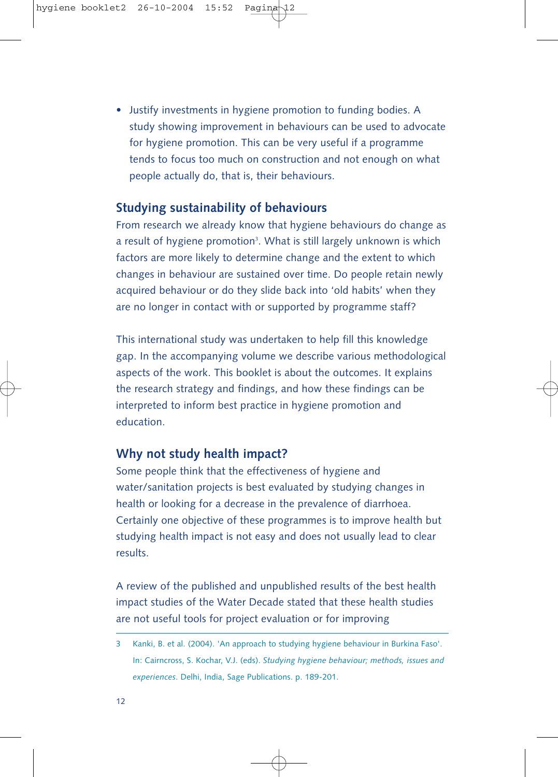• Justify investments in hygiene promotion to funding bodies. A study showing improvement in behaviours can be used to advocate for hygiene promotion. This can be very useful if a programme tends to focus too much on construction and not enough on what people actually do, that is, their behaviours.

#### **Studying sustainability of behaviours**

From research we already know that hygiene behaviours do change as a result of hygiene promotion<sup>3</sup>. What is still largely unknown is which factors are more likely to determine change and the extent to which changes in behaviour are sustained over time. Do people retain newly acquired behaviour or do they slide back into 'old habits' when they are no longer in contact with or supported by programme staff?

This international study was undertaken to help fill this knowledge gap. In the accompanying volume we describe various methodological aspects of the work. This booklet is about the outcomes. It explains the research strategy and findings, and how these findings can be interpreted to inform best practice in hygiene promotion and education.

#### **Why not study health impact?**

Some people think that the effectiveness of hygiene and water/sanitation projects is best evaluated by studying changes in health or looking for a decrease in the prevalence of diarrhoea. Certainly one objective of these programmes is to improve health but studying health impact is not easy and does not usually lead to clear results.

A review of the published and unpublished results of the best health impact studies of the Water Decade stated that these health studies are not useful tools for project evaluation or for improving

<sup>3</sup> Kanki, B. et al. (2004). 'An approach to studying hygiene behaviour in Burkina Faso'. In: Cairncross, S. Kochar, V.J. (eds). *Studying hygiene behaviour; methods, issues and experiences*. Delhi, India, Sage Publications. p. 189-201.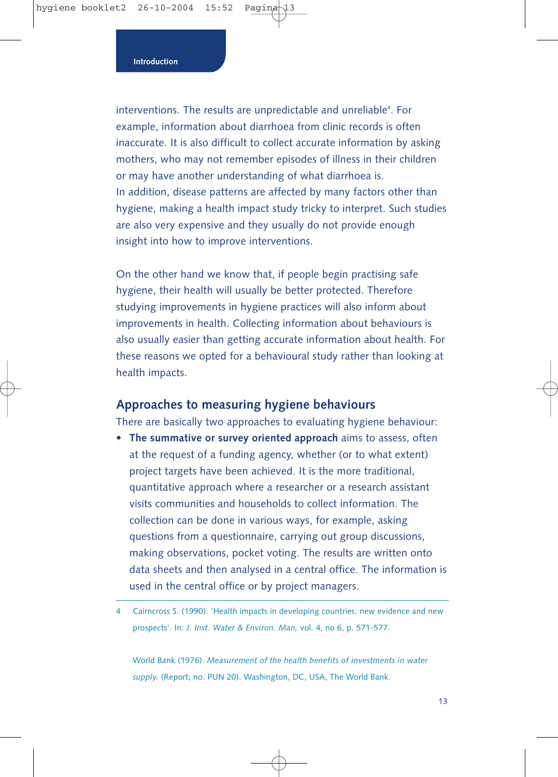#### **Introduction**

interventions. The results are unpredictable and unreliable<sup>4</sup>. For example, information about diarrhoea from clinic records is often inaccurate. It is also difficult to collect accurate information by asking mothers, who may not remember episodes of illness in their children or may have another understanding of what diarrhoea is. In addition, disease patterns are affected by many factors other than hygiene, making a health impact study tricky to interpret. Such studies are also very expensive and they usually do not provide enough insight into how to improve interventions.

On the other hand we know that, if people begin practising safe hygiene, their health will usually be better protected. Therefore studying improvements in hygiene practices will also inform about improvements in health. Collecting information about behaviours is also usually easier than getting accurate information about health. For these reasons we opted for a behavioural study rather than looking at health impacts.

#### **Approaches to measuring hygiene behaviours**

There are basically two approaches to evaluating hygiene behaviour:

**• The summative or survey oriented approach** aims to assess, often at the request of a funding agency, whether (or to what extent) project targets have been achieved. It is the more traditional, quantitative approach where a researcher or a research assistant visits communities and households to collect information. The collection can be done in various ways, for example, asking questions from a questionnaire, carrying out group discussions, making observations, pocket voting. The results are written onto data sheets and then analysed in a central office. The information is used in the central office or by project managers.

4 Cairncross S. (1990). 'Health impacts in developing countries: new evidence and new prospects'. In: *J. Inst. Water & Environ. Man,* vol. 4, no 6, p. 571-577.

World Bank (1976). *Measurement of the health benefits of investments in water supply.* (Report; no. PUN 20). Washington, DC, USA, The World Bank.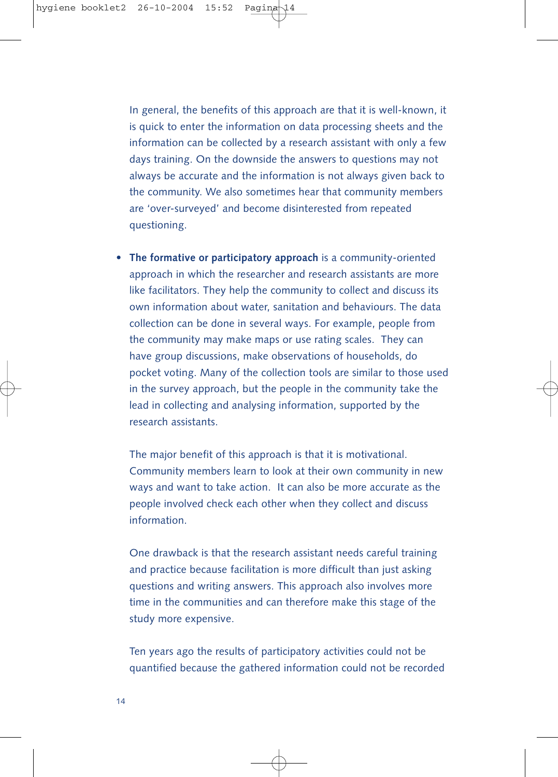In general, the benefits of this approach are that it is well-known, it is quick to enter the information on data processing sheets and the information can be collected by a research assistant with only a few days training. On the downside the answers to questions may not always be accurate and the information is not always given back to the community. We also sometimes hear that community members are 'over-surveyed' and become disinterested from repeated questioning.

**• The formative or participatory approach** is a community-oriented approach in which the researcher and research assistants are more like facilitators. They help the community to collect and discuss its own information about water, sanitation and behaviours. The data collection can be done in several ways. For example, people from the community may make maps or use rating scales. They can have group discussions, make observations of households, do pocket voting. Many of the collection tools are similar to those used in the survey approach, but the people in the community take the lead in collecting and analysing information, supported by the research assistants.

The major benefit of this approach is that it is motivational. Community members learn to look at their own community in new ways and want to take action. It can also be more accurate as the people involved check each other when they collect and discuss information.

One drawback is that the research assistant needs careful training and practice because facilitation is more difficult than just asking questions and writing answers. This approach also involves more time in the communities and can therefore make this stage of the study more expensive.

Ten years ago the results of participatory activities could not be quantified because the gathered information could not be recorded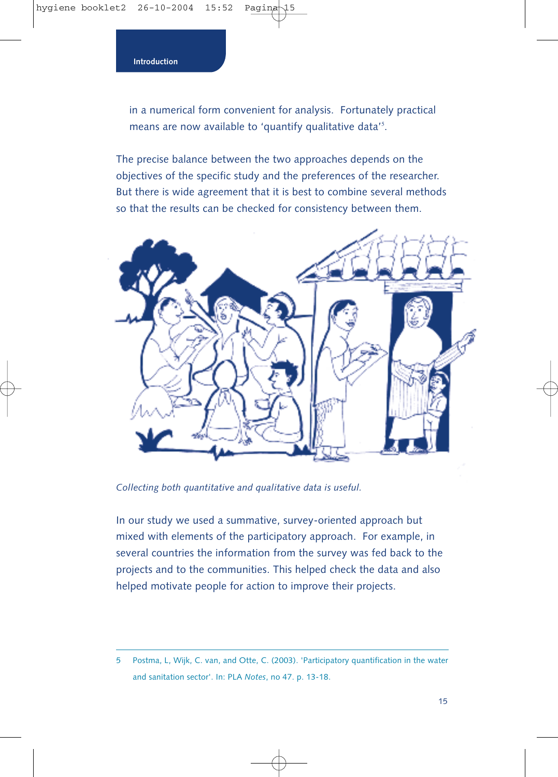#### **Introduction**

in a numerical form convenient for analysis. Fortunately practical means are now available to 'quantify qualitative data'<sup>5</sup>.

The precise balance between the two approaches depends on the objectives of the specific study and the preferences of the researcher. But there is wide agreement that it is best to combine several methods so that the results can be checked for consistency between them.



*Collecting both quantitative and qualitative data is useful.*

In our study we used a summative, survey-oriented approach but mixed with elements of the participatory approach. For example, in several countries the information from the survey was fed back to the projects and to the communities. This helped check the data and also helped motivate people for action to improve their projects.

5 Postma, L, Wijk, C. van, and Otte, C. (2003). 'Participatory quantification in the water and sanitation sector'. In: PLA *Notes*, no 47. p. 13-18.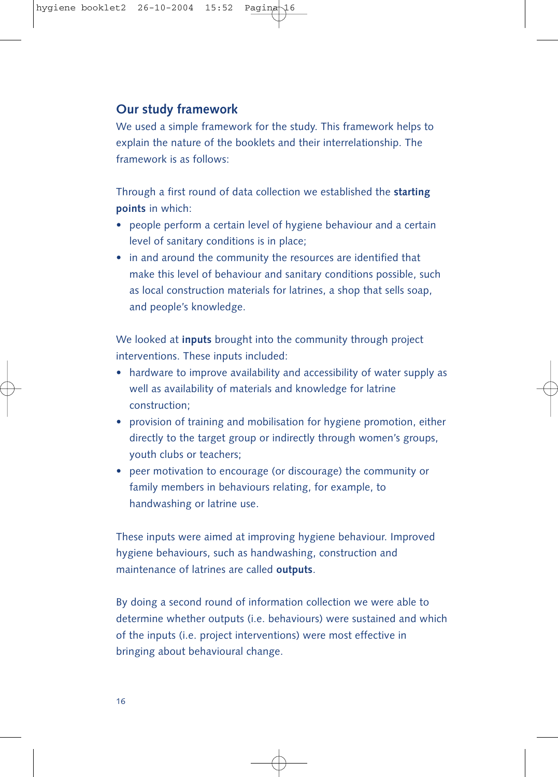#### **Our study framework**

We used a simple framework for the study. This framework helps to explain the nature of the booklets and their interrelationship. The framework is as follows:

Through a first round of data collection we established the **starting points** in which:

- people perform a certain level of hygiene behaviour and a certain level of sanitary conditions is in place;
- in and around the community the resources are identified that make this level of behaviour and sanitary conditions possible, such as local construction materials for latrines, a shop that sells soap, and people's knowledge.

We looked at **inputs** brought into the community through project interventions. These inputs included:

- hardware to improve availability and accessibility of water supply as well as availability of materials and knowledge for latrine construction;
- provision of training and mobilisation for hygiene promotion, either directly to the target group or indirectly through women's groups, youth clubs or teachers;
- peer motivation to encourage (or discourage) the community or family members in behaviours relating, for example, to handwashing or latrine use.

These inputs were aimed at improving hygiene behaviour. Improved hygiene behaviours, such as handwashing, construction and maintenance of latrines are called **outputs**.

By doing a second round of information collection we were able to determine whether outputs (i.e. behaviours) were sustained and which of the inputs (i.e. project interventions) were most effective in bringing about behavioural change.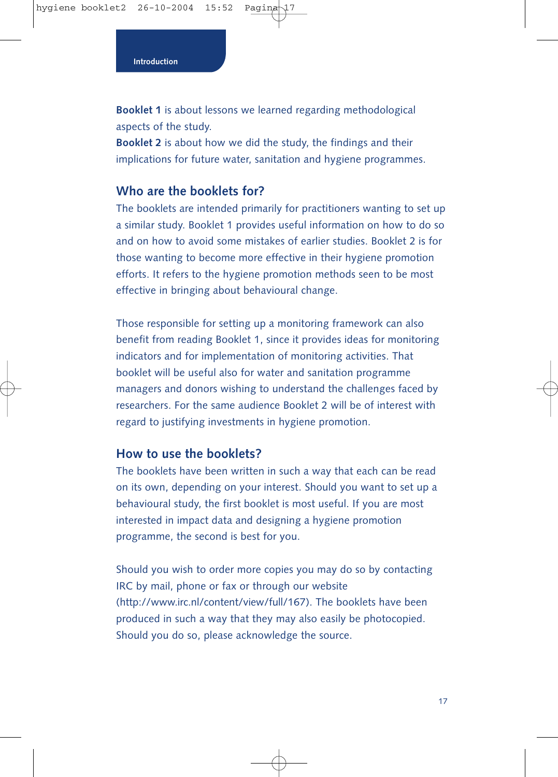#### **Introduction**

**Booklet 1** is about lessons we learned regarding methodological aspects of the study.

**Booklet 2** is about how we did the study, the findings and their implications for future water, sanitation and hygiene programmes.

#### **Who are the booklets for?**

The booklets are intended primarily for practitioners wanting to set up a similar study. Booklet 1 provides useful information on how to do so and on how to avoid some mistakes of earlier studies. Booklet 2 is for those wanting to become more effective in their hygiene promotion efforts. It refers to the hygiene promotion methods seen to be most effective in bringing about behavioural change.

Those responsible for setting up a monitoring framework can also benefit from reading Booklet 1, since it provides ideas for monitoring indicators and for implementation of monitoring activities. That booklet will be useful also for water and sanitation programme managers and donors wishing to understand the challenges faced by researchers. For the same audience Booklet 2 will be of interest with regard to justifying investments in hygiene promotion.

#### **How to use the booklets?**

The booklets have been written in such a way that each can be read on its own, depending on your interest. Should you want to set up a behavioural study, the first booklet is most useful. If you are most interested in impact data and designing a hygiene promotion programme, the second is best for you.

Should you wish to order more copies you may do so by contacting IRC by mail, phone or fax or through our website (http://www.irc.nl/content/view/full/167). The booklets have been produced in such a way that they may also easily be photocopied. Should you do so, please acknowledge the source.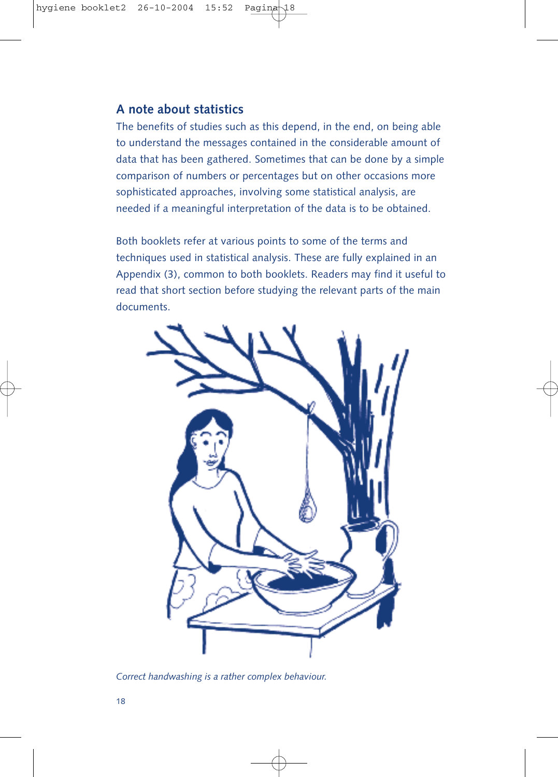#### **A note about statistics**

The benefits of studies such as this depend, in the end, on being able to understand the messages contained in the considerable amount of data that has been gathered. Sometimes that can be done by a simple comparison of numbers or percentages but on other occasions more sophisticated approaches, involving some statistical analysis, are needed if a meaningful interpretation of the data is to be obtained.

Both booklets refer at various points to some of the terms and techniques used in statistical analysis. These are fully explained in an Appendix (3), common to both booklets. Readers may find it useful to read that short section before studying the relevant parts of the main documents.



*Correct handwashing is a rather complex behaviour.*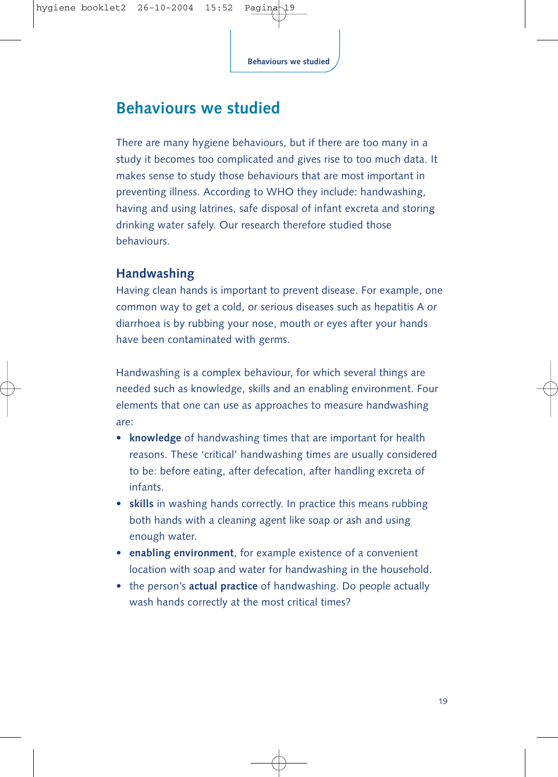**Behaviours we studied**

### **Behaviours we studied**

There are many hygiene behaviours, but if there are too many in a study it becomes too complicated and gives rise to too much data. It makes sense to study those behaviours that are most important in preventing illness. According to WHO they include: handwashing, having and using latrines, safe disposal of infant excreta and storing drinking water safely. Our research therefore studied those behaviours.

#### **Handwashing**

Having clean hands is important to prevent disease. For example, one common way to get a cold, or serious diseases such as hepatitis A or diarrhoea is by rubbing your nose, mouth or eyes after your hands have been contaminated with germs.

Handwashing is a complex behaviour, for which several things are needed such as knowledge, skills and an enabling environment. Four elements that one can use as approaches to measure handwashing are:

- **• knowledge** of handwashing times that are important for health reasons. These 'critical' handwashing times are usually considered to be: before eating, after defecation, after handling excreta of infants.
- **• skills** in washing hands correctly. In practice this means rubbing both hands with a cleaning agent like soap or ash and using enough water.
- **• enabling environment**, for example existence of a convenient location with soap and water for handwashing in the household.
- **•** the person's **actual practice** of handwashing. Do people actually wash hands correctly at the most critical times?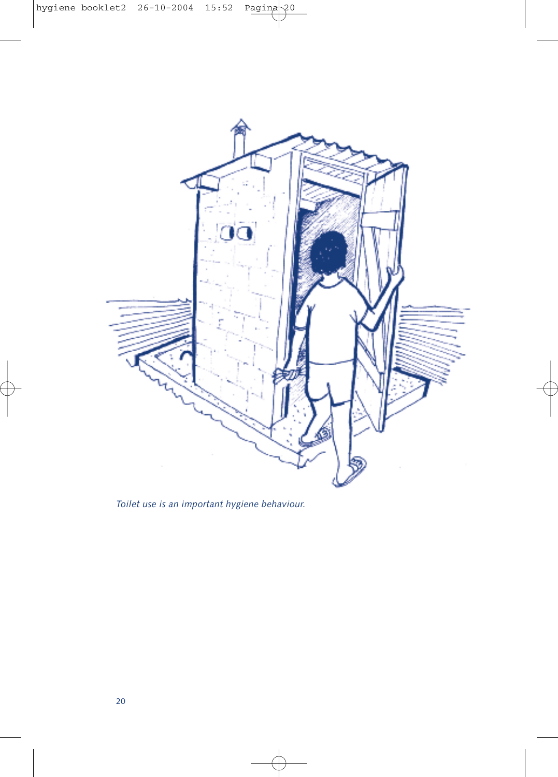

*Toilet use is an important hygiene behaviour.*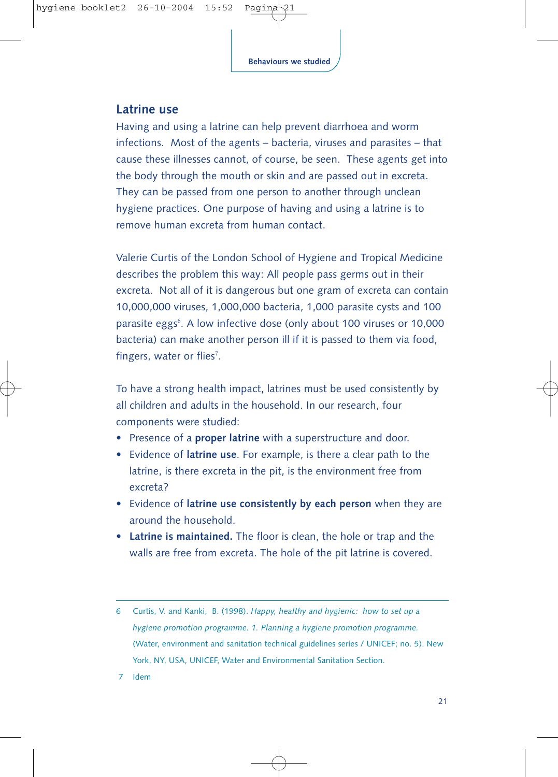**Behaviours we studied**

#### **Latrine use**

Having and using a latrine can help prevent diarrhoea and worm infections. Most of the agents – bacteria, viruses and parasites – that cause these illnesses cannot, of course, be seen. These agents get into the body through the mouth or skin and are passed out in excreta. They can be passed from one person to another through unclean hygiene practices. One purpose of having and using a latrine is to remove human excreta from human contact.

Valerie Curtis of the London School of Hygiene and Tropical Medicine describes the problem this way: All people pass germs out in their excreta. Not all of it is dangerous but one gram of excreta can contain 10,000,000 viruses, 1,000,000 bacteria, 1,000 parasite cysts and 100 parasite eggs<sup>6</sup>. A low infective dose (only about 100 viruses or 10,000 bacteria) can make another person ill if it is passed to them via food, fingers, water or flies<sup>7</sup>.

To have a strong health impact, latrines must be used consistently by all children and adults in the household. In our research, four components were studied:

- Presence of a **proper latrine** with a superstructure and door.
- Evidence of **latrine use**. For example, is there a clear path to the latrine, is there excreta in the pit, is the environment free from excreta?
- Evidence of **latrine use consistently by each person** when they are around the household.
- **Latrine is maintained.** The floor is clean, the hole or trap and the walls are free from excreta. The hole of the pit latrine is covered.

<sup>6</sup> Curtis, V. and Kanki, B. (1998). *Happy, healthy and hygienic: how to set up a hygiene promotion programme. 1. Planning a hygiene promotion programme.* (Water, environment and sanitation technical guidelines series / UNICEF; no. 5). New York, NY, USA, UNICEF, Water and Environmental Sanitation Section.

<sup>7</sup> Idem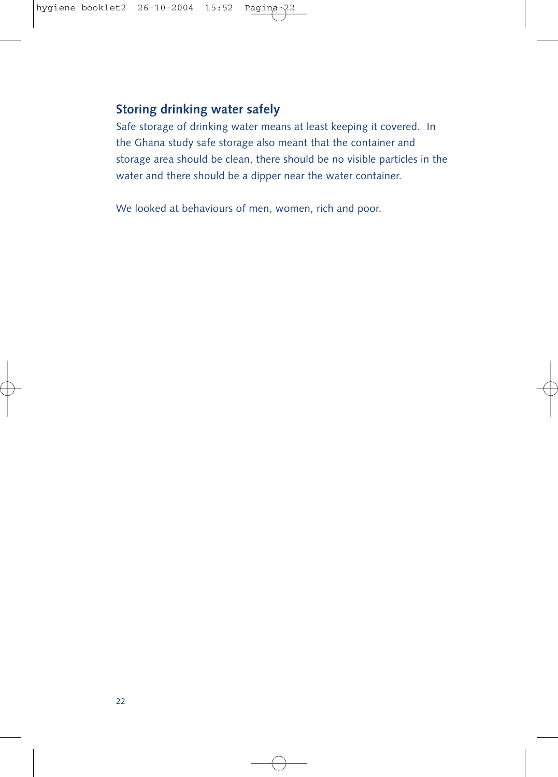#### **Storing drinking water safely**

Safe storage of drinking water means at least keeping it covered. In the Ghana study safe storage also meant that the container and storage area should be clean, there should be no visible particles in the water and there should be a dipper near the water container.

We looked at behaviours of men, women, rich and poor.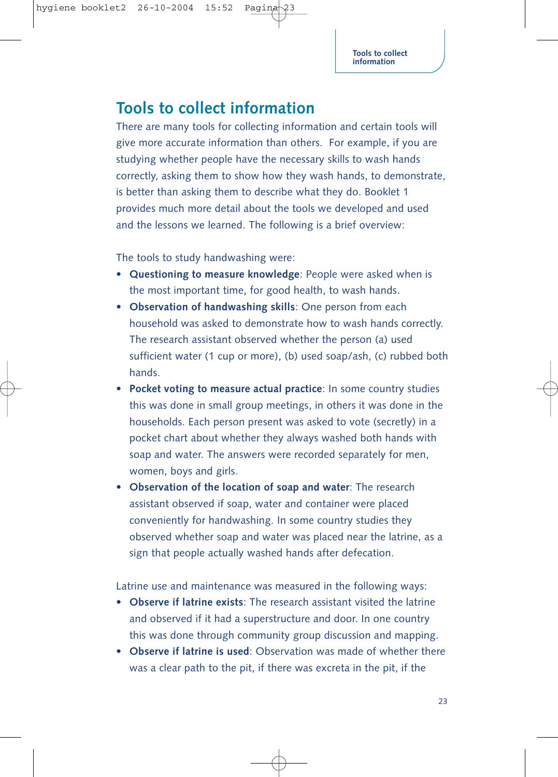**Tools to collect information**

### **Tools to collect information**

There are many tools for collecting information and certain tools will give more accurate information than others. For example, if you are studying whether people have the necessary skills to wash hands correctly, asking them to show how they wash hands, to demonstrate, is better than asking them to describe what they do. Booklet 1 provides much more detail about the tools we developed and used and the lessons we learned. The following is a brief overview:

The tools to study handwashing were:

- **• Questioning to measure knowledge**: People were asked when is the most important time, for good health, to wash hands.
- **• Observation of handwashing skills**: One person from each household was asked to demonstrate how to wash hands correctly. The research assistant observed whether the person (a) used sufficient water (1 cup or more), (b) used soap/ash, (c) rubbed both hands.
- **• Pocket voting to measure actual practice**: In some country studies this was done in small group meetings, in others it was done in the households. Each person present was asked to vote (secretly) in a pocket chart about whether they always washed both hands with soap and water. The answers were recorded separately for men, women, boys and girls.
- **• Observation of the location of soap and water**: The research assistant observed if soap, water and container were placed conveniently for handwashing. In some country studies they observed whether soap and water was placed near the latrine, as a sign that people actually washed hands after defecation.

Latrine use and maintenance was measured in the following ways:

- **• Observe if latrine exists**: The research assistant visited the latrine and observed if it had a superstructure and door. In one country this was done through community group discussion and mapping.
- **• Observe if latrine is used**: Observation was made of whether there was a clear path to the pit, if there was excreta in the pit, if the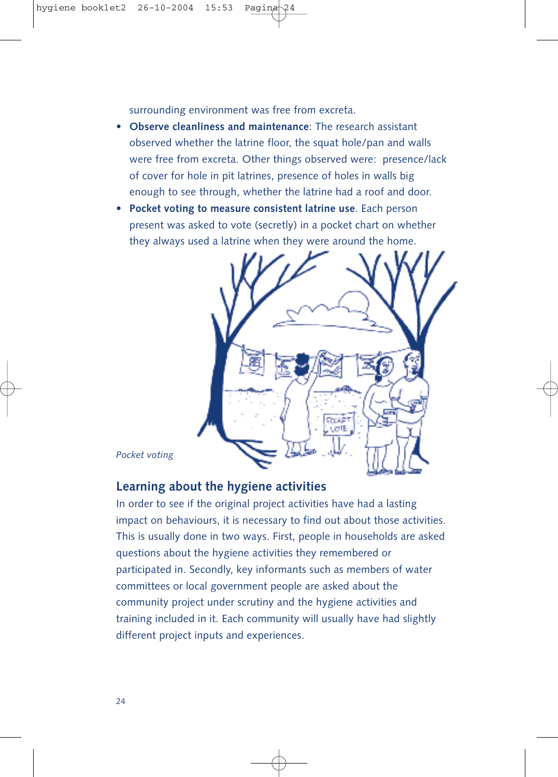surrounding environment was free from excreta.

- **• Observe cleanliness and maintenance**: The research assistant observed whether the latrine floor, the squat hole/pan and walls were free from excreta. Other things observed were: presence/lack of cover for hole in pit latrines, presence of holes in walls big enough to see through, whether the latrine had a roof and door.
- **• Pocket voting to measure consistent latrine use**. Each person present was asked to vote (secretly) in a pocket chart on whether they always used a latrine when they were around the home.

**FOOKET LOTE** 

#### *Pocket voting*

### **Learning about the hygiene activities**

In order to see if the original project activities have had a lasting impact on behaviours, it is necessary to find out about those activities. This is usually done in two ways. First, people in households are asked questions about the hygiene activities they remembered or participated in. Secondly, key informants such as members of water committees or local government people are asked about the community project under scrutiny and the hygiene activities and training included in it. Each community will usually have had slightly different project inputs and experiences.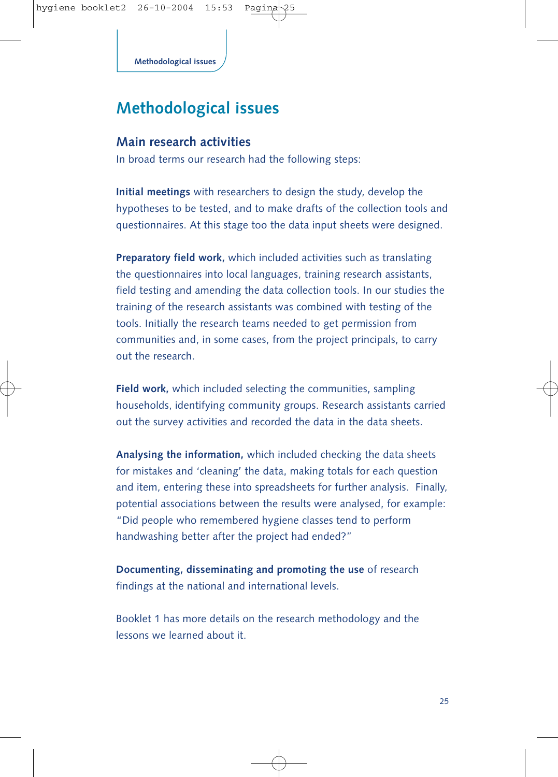**Methodological issues**

### **Methodological issues**

#### **Main research activities**

In broad terms our research had the following steps:

**Initial meetings** with researchers to design the study, develop the hypotheses to be tested, and to make drafts of the collection tools and questionnaires. At this stage too the data input sheets were designed.

**Preparatory field work,** which included activities such as translating the questionnaires into local languages, training research assistants, field testing and amending the data collection tools. In our studies the training of the research assistants was combined with testing of the tools. Initially the research teams needed to get permission from communities and, in some cases, from the project principals, to carry out the research.

**Field work,** which included selecting the communities, sampling households, identifying community groups. Research assistants carried out the survey activities and recorded the data in the data sheets.

**Analysing the information,** which included checking the data sheets for mistakes and 'cleaning' the data, making totals for each question and item, entering these into spreadsheets for further analysis. Finally, potential associations between the results were analysed, for example: "Did people who remembered hygiene classes tend to perform handwashing better after the project had ended?"

**Documenting, disseminating and promoting the use** of research findings at the national and international levels.

Booklet 1 has more details on the research methodology and the lessons we learned about it.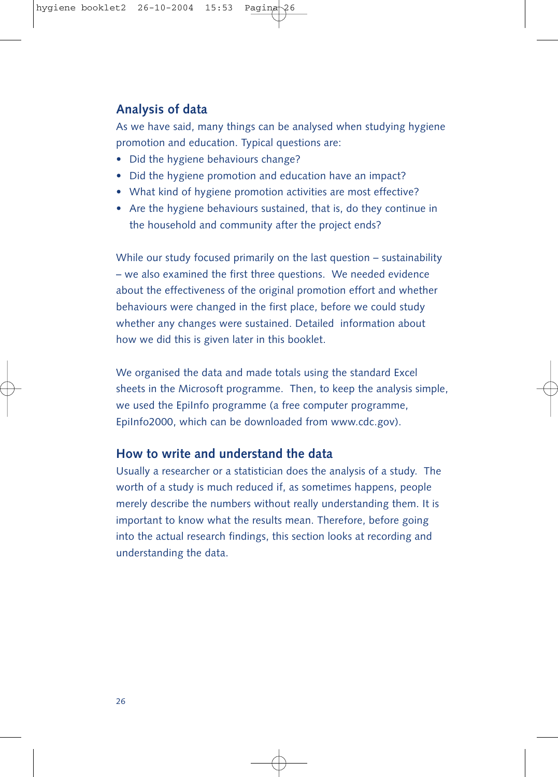#### **Analysis of data**

As we have said, many things can be analysed when studying hygiene promotion and education. Typical questions are:

- Did the hygiene behaviours change?
- Did the hygiene promotion and education have an impact?
- What kind of hygiene promotion activities are most effective?
- Are the hygiene behaviours sustained, that is, do they continue in the household and community after the project ends?

While our study focused primarily on the last question – sustainability – we also examined the first three questions. We needed evidence about the effectiveness of the original promotion effort and whether behaviours were changed in the first place, before we could study whether any changes were sustained. Detailed information about how we did this is given later in this booklet.

We organised the data and made totals using the standard Excel sheets in the Microsoft programme. Then, to keep the analysis simple, we used the EpiInfo programme (a free computer programme, EpiInfo2000, which can be downloaded from www.cdc.gov).

#### **How to write and understand the data**

Usually a researcher or a statistician does the analysis of a study. The worth of a study is much reduced if, as sometimes happens, people merely describe the numbers without really understanding them. It is important to know what the results mean. Therefore, before going into the actual research findings, this section looks at recording and understanding the data.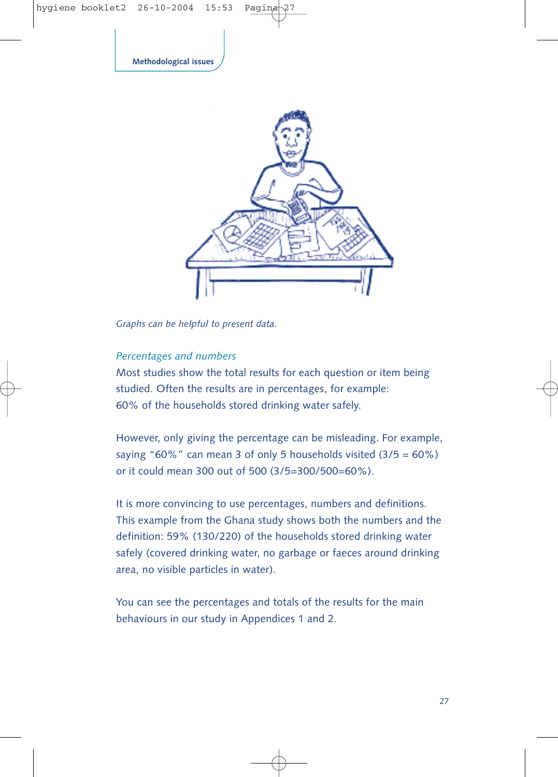**Methodological issues**



*Graphs can be helpful to present data.*

#### *Percentages and numbers*

Most studies show the total results for each question or item being studied. Often the results are in percentages, for example: 60% of the households stored drinking water safely.

However, only giving the percentage can be misleading. For example, saying "60%" can mean 3 of only 5 households visited  $(3/5 = 60\%)$ or it could mean 300 out of 500 (3/5=300/500=60%).

It is more convincing to use percentages, numbers and definitions. This example from the Ghana study shows both the numbers and the definition: 59% (130/220) of the households stored drinking water safely (covered drinking water, no garbage or faeces around drinking area, no visible particles in water).

You can see the percentages and totals of the results for the main behaviours in our study in Appendices 1 and 2.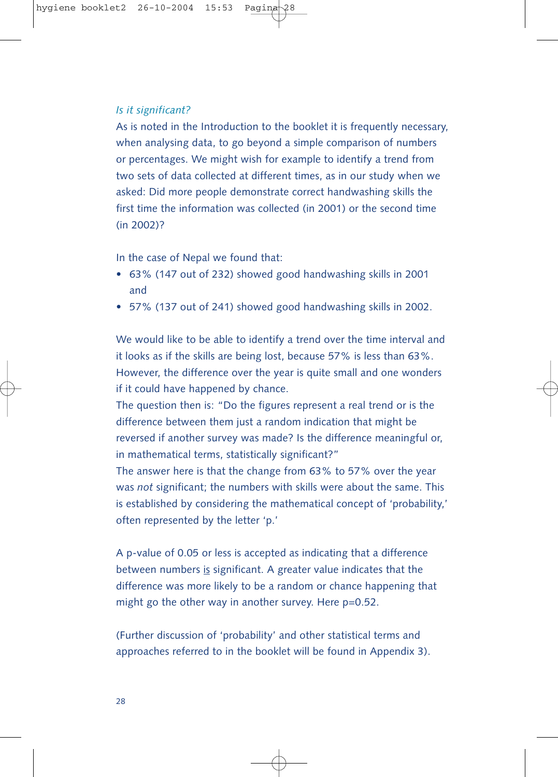#### *Is it significant?*

As is noted in the Introduction to the booklet it is frequently necessary, when analysing data, to go beyond a simple comparison of numbers or percentages. We might wish for example to identify a trend from two sets of data collected at different times, as in our study when we asked: Did more people demonstrate correct handwashing skills the first time the information was collected (in 2001) or the second time (in 2002)?

In the case of Nepal we found that:

- 63% (147 out of 232) showed good handwashing skills in 2001 and
- 57% (137 out of 241) showed good handwashing skills in 2002.

We would like to be able to identify a trend over the time interval and it looks as if the skills are being lost, because 57% is less than 63%. However, the difference over the year is quite small and one wonders if it could have happened by chance.

The question then is: "Do the figures represent a real trend or is the difference between them just a random indication that might be reversed if another survey was made? Is the difference meaningful or, in mathematical terms, statistically significant?"

The answer here is that the change from 63% to 57% over the year was *not* significant; the numbers with skills were about the same. This is established by considering the mathematical concept of 'probability,' often represented by the letter 'p.'

A p-value of 0.05 or less is accepted as indicating that a difference between numbers is significant. A greater value indicates that the difference was more likely to be a random or chance happening that might go the other way in another survey. Here p=0.52.

(Further discussion of 'probability' and other statistical terms and approaches referred to in the booklet will be found in Appendix 3).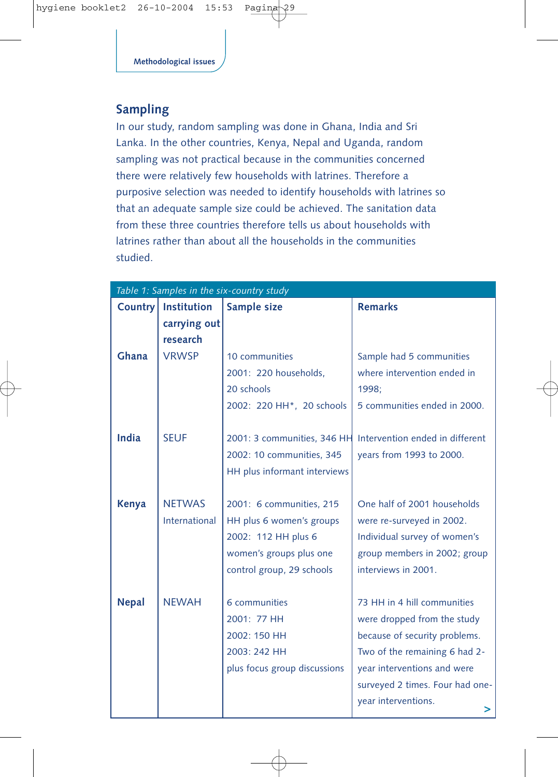**Methodological issues**

#### **Sampling**

In our study, random sampling was done in Ghana, India and Sri Lanka. In the other countries, Kenya, Nepal and Uganda, random sampling was not practical because in the communities concerned there were relatively few households with latrines. Therefore a purposive selection was needed to identify households with latrines so that an adequate sample size could be achieved. The sanitation data from these three countries therefore tells us about households with latrines rather than about all the households in the communities studied.

| <b>Remarks</b><br>Country<br>Institution<br>Sample size<br>carrying out<br>research<br><b>VRWSP</b><br>Ghana<br>10 communities<br>Sample had 5 communities<br>where intervention ended in<br>2001: 220 households,<br>20 schools<br>1998;<br>5 communities ended in 2000.<br>2002: 220 HH*, 20 schools<br>India<br><b>SEUF</b><br>2001: 3 communities, 346 HH<br>Intervention ended in different<br>2002: 10 communities, 345<br>years from 1993 to 2000. | Table 1: Samples in the six-country study |  |  |                                 |  |  |  |
|-----------------------------------------------------------------------------------------------------------------------------------------------------------------------------------------------------------------------------------------------------------------------------------------------------------------------------------------------------------------------------------------------------------------------------------------------------------|-------------------------------------------|--|--|---------------------------------|--|--|--|
|                                                                                                                                                                                                                                                                                                                                                                                                                                                           |                                           |  |  |                                 |  |  |  |
|                                                                                                                                                                                                                                                                                                                                                                                                                                                           |                                           |  |  |                                 |  |  |  |
|                                                                                                                                                                                                                                                                                                                                                                                                                                                           |                                           |  |  |                                 |  |  |  |
|                                                                                                                                                                                                                                                                                                                                                                                                                                                           |                                           |  |  |                                 |  |  |  |
|                                                                                                                                                                                                                                                                                                                                                                                                                                                           |                                           |  |  |                                 |  |  |  |
|                                                                                                                                                                                                                                                                                                                                                                                                                                                           |                                           |  |  |                                 |  |  |  |
|                                                                                                                                                                                                                                                                                                                                                                                                                                                           |                                           |  |  |                                 |  |  |  |
|                                                                                                                                                                                                                                                                                                                                                                                                                                                           |                                           |  |  |                                 |  |  |  |
|                                                                                                                                                                                                                                                                                                                                                                                                                                                           |                                           |  |  |                                 |  |  |  |
|                                                                                                                                                                                                                                                                                                                                                                                                                                                           |                                           |  |  |                                 |  |  |  |
| HH plus informant interviews                                                                                                                                                                                                                                                                                                                                                                                                                              |                                           |  |  |                                 |  |  |  |
|                                                                                                                                                                                                                                                                                                                                                                                                                                                           |                                           |  |  |                                 |  |  |  |
| <b>NETWAS</b><br>Kenya<br>2001: 6 communities, 215<br>One half of 2001 households                                                                                                                                                                                                                                                                                                                                                                         |                                           |  |  |                                 |  |  |  |
| <b>International</b><br>HH plus 6 women's groups<br>were re-surveyed in 2002.                                                                                                                                                                                                                                                                                                                                                                             |                                           |  |  |                                 |  |  |  |
| Individual survey of women's<br>2002: 112 HH plus 6                                                                                                                                                                                                                                                                                                                                                                                                       |                                           |  |  |                                 |  |  |  |
| women's groups plus one                                                                                                                                                                                                                                                                                                                                                                                                                                   |                                           |  |  | group members in 2002; group    |  |  |  |
| interviews in 2001.<br>control group, 29 schools                                                                                                                                                                                                                                                                                                                                                                                                          |                                           |  |  |                                 |  |  |  |
|                                                                                                                                                                                                                                                                                                                                                                                                                                                           |                                           |  |  |                                 |  |  |  |
| <b>NFWAH</b><br><b>Nepal</b><br>6 communities<br>73 HH in 4 hill communities                                                                                                                                                                                                                                                                                                                                                                              |                                           |  |  |                                 |  |  |  |
| 2001: 77 HH<br>were dropped from the study                                                                                                                                                                                                                                                                                                                                                                                                                |                                           |  |  |                                 |  |  |  |
| because of security problems.<br>2002: 150 HH                                                                                                                                                                                                                                                                                                                                                                                                             |                                           |  |  |                                 |  |  |  |
| 2003: 242 HH<br>Two of the remaining 6 had 2-                                                                                                                                                                                                                                                                                                                                                                                                             |                                           |  |  |                                 |  |  |  |
| year interventions and were<br>plus focus group discussions                                                                                                                                                                                                                                                                                                                                                                                               |                                           |  |  |                                 |  |  |  |
|                                                                                                                                                                                                                                                                                                                                                                                                                                                           |                                           |  |  | surveyed 2 times. Four had one- |  |  |  |
| year interventions.                                                                                                                                                                                                                                                                                                                                                                                                                                       |                                           |  |  | >                               |  |  |  |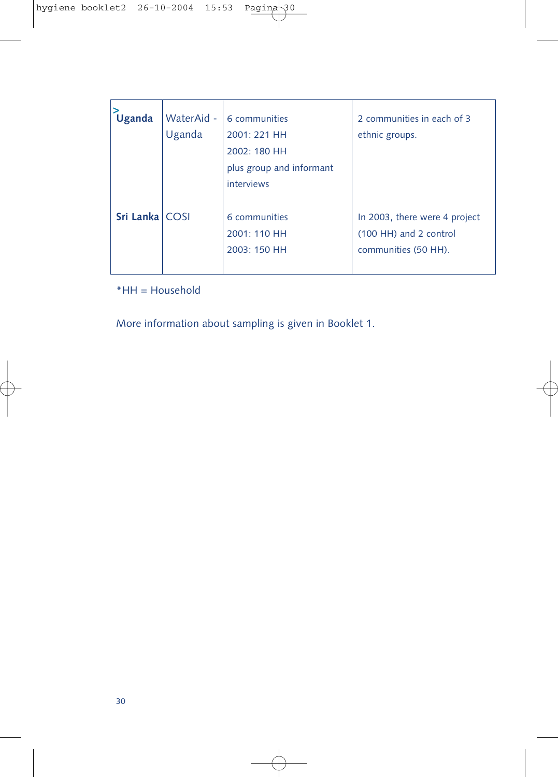| Uganda    | WaterAid -<br>Uganda | 6 communities<br>2001: 221 HH<br>2002: 180 HH<br>plus group and informant<br>interviews | 2 communities in each of 3<br>ethnic groups.                                    |
|-----------|----------------------|-----------------------------------------------------------------------------------------|---------------------------------------------------------------------------------|
| Sri Lanka | COSI                 | 6 communities<br>2001: 110 HH<br>2003: 150 HH                                           | In 2003, there were 4 project<br>(100 HH) and 2 control<br>communities (50 HH). |

\*HH = Household

More information about sampling is given in Booklet 1.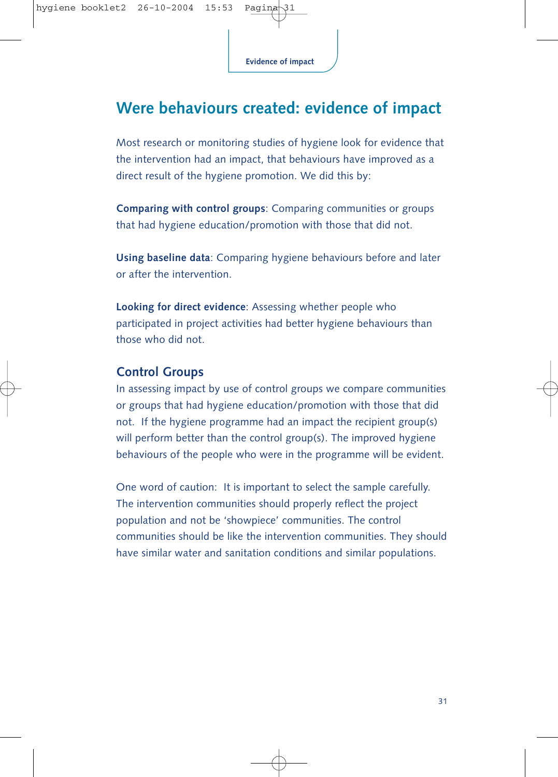**Evidence of impact**

### **Were behaviours created: evidence of impact**

Most research or monitoring studies of hygiene look for evidence that the intervention had an impact, that behaviours have improved as a direct result of the hygiene promotion. We did this by:

**Comparing with control groups**: Comparing communities or groups that had hygiene education/promotion with those that did not.

**Using baseline data**: Comparing hygiene behaviours before and later or after the intervention.

**Looking for direct evidence**: Assessing whether people who participated in project activities had better hygiene behaviours than those who did not.

#### **Control Groups**

In assessing impact by use of control groups we compare communities or groups that had hygiene education/promotion with those that did not. If the hygiene programme had an impact the recipient group(s) will perform better than the control group(s). The improved hygiene behaviours of the people who were in the programme will be evident.

One word of caution: It is important to select the sample carefully. The intervention communities should properly reflect the project population and not be 'showpiece' communities. The control communities should be like the intervention communities. They should have similar water and sanitation conditions and similar populations.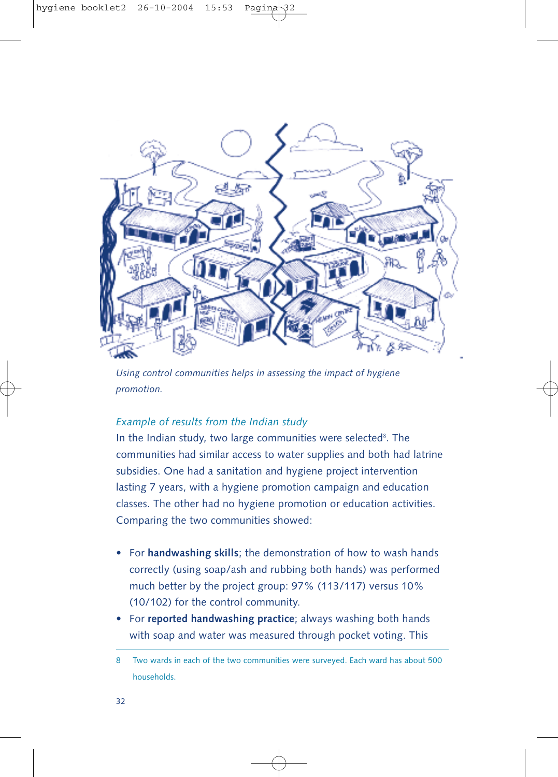

*Using control communities helps in assessing the impact of hygiene promotion.*

#### *Example of results from the Indian study*

In the Indian study, two large communities were selected<sup>8</sup>. The communities had similar access to water supplies and both had latrine subsidies. One had a sanitation and hygiene project intervention lasting 7 years, with a hygiene promotion campaign and education classes. The other had no hygiene promotion or education activities. Comparing the two communities showed:

- For **handwashing skills**; the demonstration of how to wash hands correctly (using soap/ash and rubbing both hands) was performed much better by the project group: 97% (113/117) versus 10% (10/102) for the control community.
- For **reported handwashing practice**; always washing both hands with soap and water was measured through pocket voting. This

<sup>8</sup> Two wards in each of the two communities were surveyed. Each ward has about 500 households.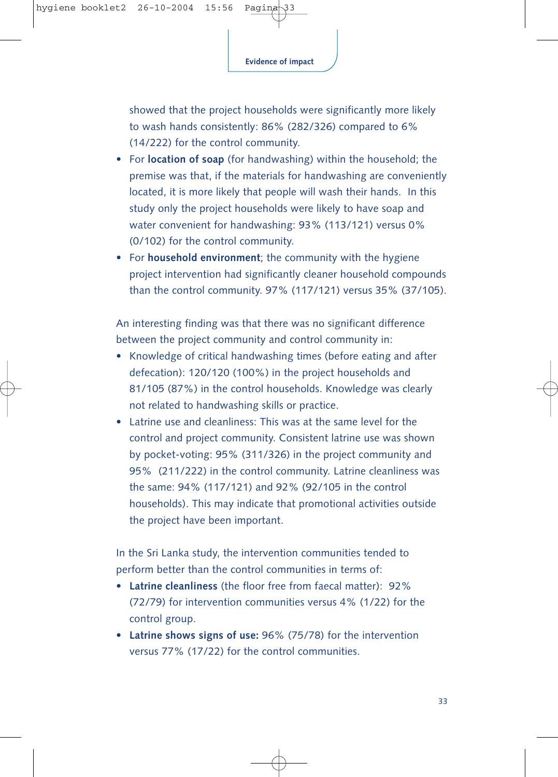**Evidence of impact**

showed that the project households were significantly more likely to wash hands consistently: 86% (282/326) compared to 6% (14/222) for the control community.

- For **location of soap** (for handwashing) within the household; the premise was that, if the materials for handwashing are conveniently located, it is more likely that people will wash their hands. In this study only the project households were likely to have soap and water convenient for handwashing: 93% (113/121) versus 0% (0/102) for the control community.
- For **household environment**; the community with the hygiene project intervention had significantly cleaner household compounds than the control community. 97% (117/121) versus 35% (37/105).

An interesting finding was that there was no significant difference between the project community and control community in:

- Knowledge of critical handwashing times (before eating and after defecation): 120/120 (100%) in the project households and 81/105 (87%) in the control households. Knowledge was clearly not related to handwashing skills or practice.
- Latrine use and cleanliness: This was at the same level for the control and project community. Consistent latrine use was shown by pocket-voting: 95% (311/326) in the project community and 95% (211/222) in the control community. Latrine cleanliness was the same: 94% (117/121) and 92% (92/105 in the control households). This may indicate that promotional activities outside the project have been important.

In the Sri Lanka study, the intervention communities tended to perform better than the control communities in terms of:

- **• Latrine cleanliness** (the floor free from faecal matter): 92% (72/79) for intervention communities versus 4% (1/22) for the control group.
- **• Latrine shows signs of use:** 96% (75/78) for the intervention versus 77% (17/22) for the control communities.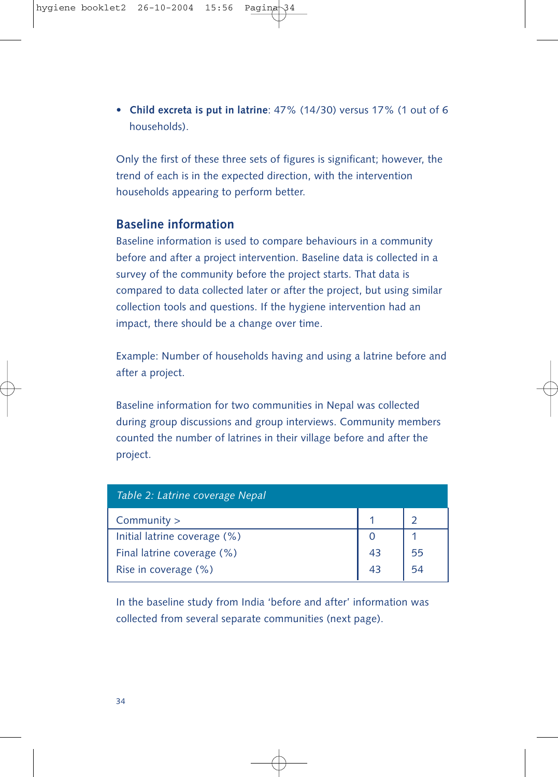**• Child excreta is put in latrine**: 47% (14/30) versus 17% (1 out of 6 households).

Only the first of these three sets of figures is significant; however, the trend of each is in the expected direction, with the intervention households appearing to perform better.

#### **Baseline information**

Baseline information is used to compare behaviours in a community before and after a project intervention. Baseline data is collected in a survey of the community before the project starts. That data is compared to data collected later or after the project, but using similar collection tools and questions. If the hygiene intervention had an impact, there should be a change over time.

Example: Number of households having and using a latrine before and after a project.

Baseline information for two communities in Nepal was collected during group discussions and group interviews. Community members counted the number of latrines in their village before and after the project.

| Table 2: Latrine coverage Nepal |                |    |  |  |
|---------------------------------|----------------|----|--|--|
| Community >                     |                |    |  |  |
| Initial latrine coverage (%)    |                |    |  |  |
| Final latrine coverage (%)      | 43             | 55 |  |  |
| Rise in coverage (%)            | 4 <sup>3</sup> |    |  |  |

In the baseline study from India 'before and after' information was collected from several separate communities (next page).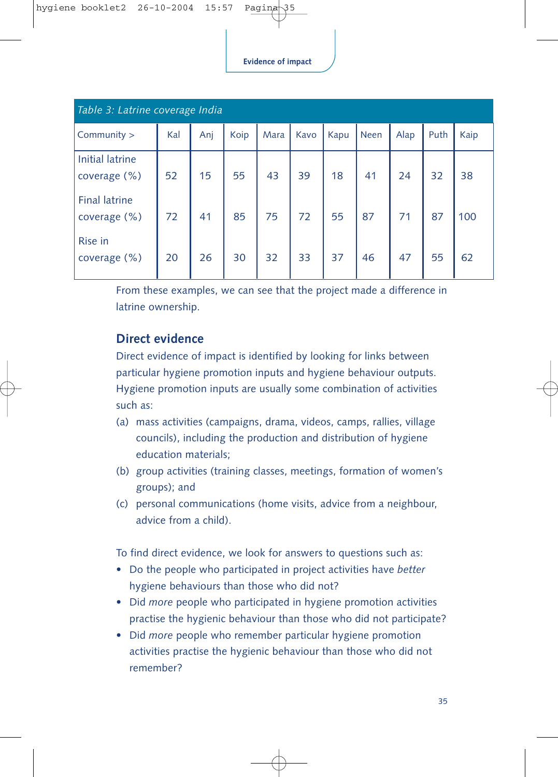**Evidence of impact**

| Table 3: Latrine coverage India      |     |     |      |      |      |      |      |      |      |      |
|--------------------------------------|-----|-----|------|------|------|------|------|------|------|------|
| Community >                          | Kal | Anj | Koip | Mara | Kavo | Kapu | Neen | Alap | Puth | Kaip |
| Initial latrine<br>coverage (%)      | 52  | 15  | 55   | 43   | 39   | 18   | 41   | 24   | 32   | 38   |
| <b>Final latrine</b><br>coverage (%) | 72  | 41  | 85   | 75   | 72   | 55   | 87   | 71   | 87   | 100  |
| <b>Rise in</b><br>coverage (%)       | 20  | 26  | 30   | 32   | 33   | 37   | 46   | 47   | 55   | 62   |

From these examples, we can see that the project made a difference in latrine ownership.

#### **Direct evidence**

Direct evidence of impact is identified by looking for links between particular hygiene promotion inputs and hygiene behaviour outputs. Hygiene promotion inputs are usually some combination of activities such as:

- (a) mass activities (campaigns, drama, videos, camps, rallies, village councils), including the production and distribution of hygiene education materials;
- (b) group activities (training classes, meetings, formation of women's groups); and
- (c) personal communications (home visits, advice from a neighbour, advice from a child).

To find direct evidence, we look for answers to questions such as:

- Do the people who participated in project activities have *better* hygiene behaviours than those who did not?
- Did *more* people who participated in hygiene promotion activities practise the hygienic behaviour than those who did not participate?
- Did *more* people who remember particular hygiene promotion activities practise the hygienic behaviour than those who did not remember?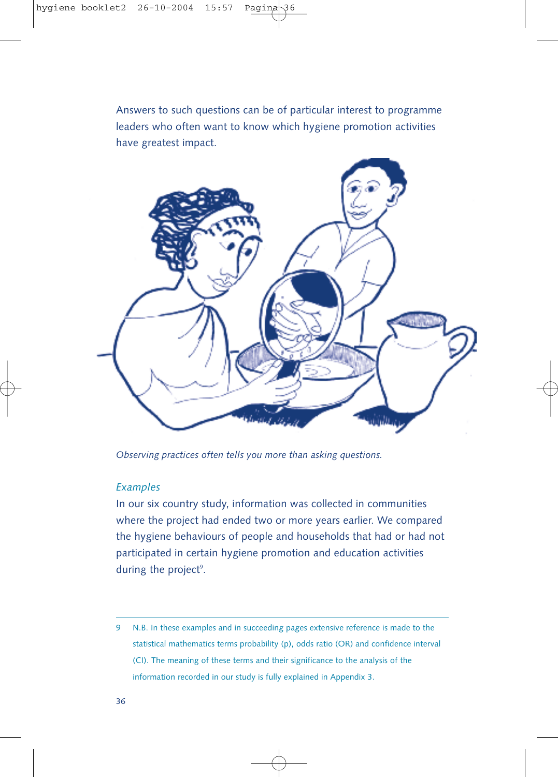Answers to such questions can be of particular interest to programme leaders who often want to know which hygiene promotion activities have greatest impact.



*Observing practices often tells you more than asking questions.*

#### *Examples*

In our six country study, information was collected in communities where the project had ended two or more years earlier. We compared the hygiene behaviours of people and households that had or had not participated in certain hygiene promotion and education activities during the project<sup>9</sup>.

<sup>9</sup> N.B. In these examples and in succeeding pages extensive reference is made to the statistical mathematics terms probability (p), odds ratio (OR) and confidence interval (CI). The meaning of these terms and their significance to the analysis of the information recorded in our study is fully explained in Appendix 3.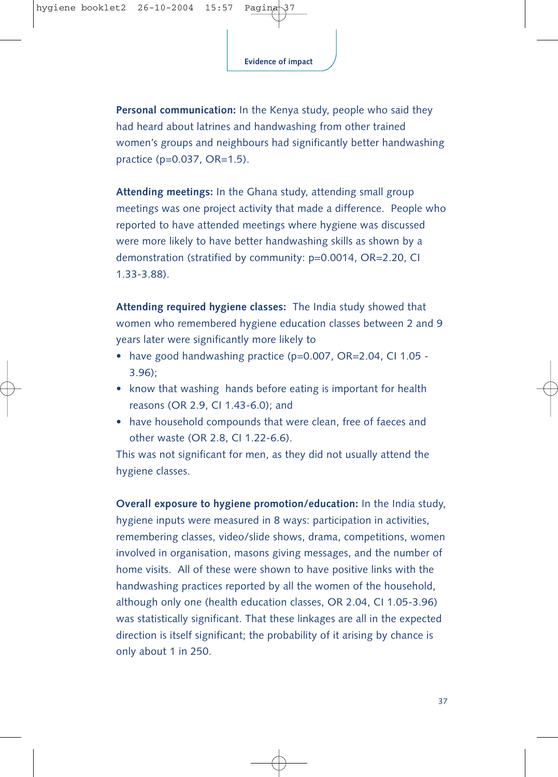

**Personal communication:** In the Kenya study, people who said they had heard about latrines and handwashing from other trained women's groups and neighbours had significantly better handwashing practice (p=0.037, OR=1.5).

**Attending meetings:** In the Ghana study, attending small group meetings was one project activity that made a difference. People who reported to have attended meetings where hygiene was discussed were more likely to have better handwashing skills as shown by a demonstration (stratified by community: p=0.0014, OR=2.20, CI 1.33-3.88).

**Attending required hygiene classes:** The India study showed that women who remembered hygiene education classes between 2 and 9 years later were significantly more likely to

- have good handwashing practice (p=0.007, OR=2.04, CI 1.05 -3.96);
- know that washing hands before eating is important for health reasons (OR 2.9, CI 1.43-6.0); and
- have household compounds that were clean, free of faeces and other waste (OR 2.8, CI 1.22-6.6).

This was not significant for men, as they did not usually attend the hygiene classes.

**Overall exposure to hygiene promotion/education:** In the India study, hygiene inputs were measured in 8 ways: participation in activities, remembering classes, video/slide shows, drama, competitions, women involved in organisation, masons giving messages, and the number of home visits. All of these were shown to have positive links with the handwashing practices reported by all the women of the household, although only one (health education classes, OR 2.04, CI 1.05-3.96) was statistically significant. That these linkages are all in the expected direction is itself significant; the probability of it arising by chance is only about 1 in 250.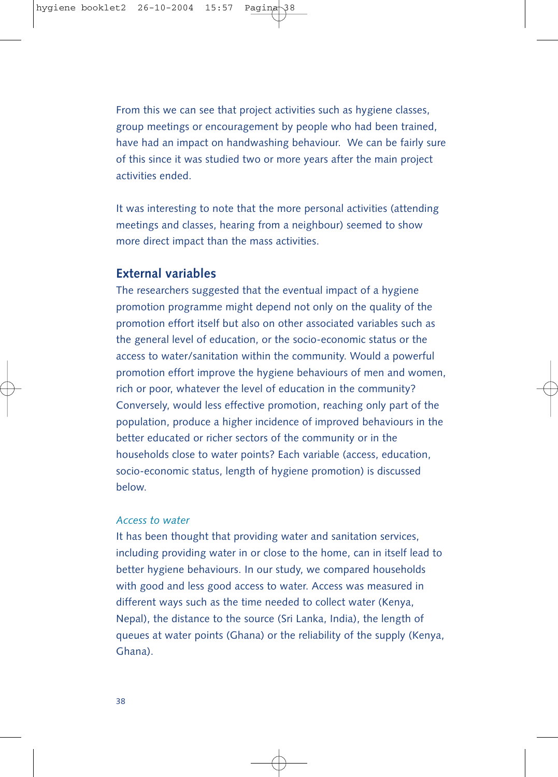From this we can see that project activities such as hygiene classes, group meetings or encouragement by people who had been trained, have had an impact on handwashing behaviour. We can be fairly sure of this since it was studied two or more years after the main project activities ended.

It was interesting to note that the more personal activities (attending meetings and classes, hearing from a neighbour) seemed to show more direct impact than the mass activities.

#### **External variables**

The researchers suggested that the eventual impact of a hygiene promotion programme might depend not only on the quality of the promotion effort itself but also on other associated variables such as the general level of education, or the socio-economic status or the access to water/sanitation within the community. Would a powerful promotion effort improve the hygiene behaviours of men and women, rich or poor, whatever the level of education in the community? Conversely, would less effective promotion, reaching only part of the population, produce a higher incidence of improved behaviours in the better educated or richer sectors of the community or in the households close to water points? Each variable (access, education, socio-economic status, length of hygiene promotion) is discussed below.

#### *Access to water*

It has been thought that providing water and sanitation services, including providing water in or close to the home, can in itself lead to better hygiene behaviours. In our study, we compared households with good and less good access to water. Access was measured in different ways such as the time needed to collect water (Kenya, Nepal), the distance to the source (Sri Lanka, India), the length of queues at water points (Ghana) or the reliability of the supply (Kenya, Ghana).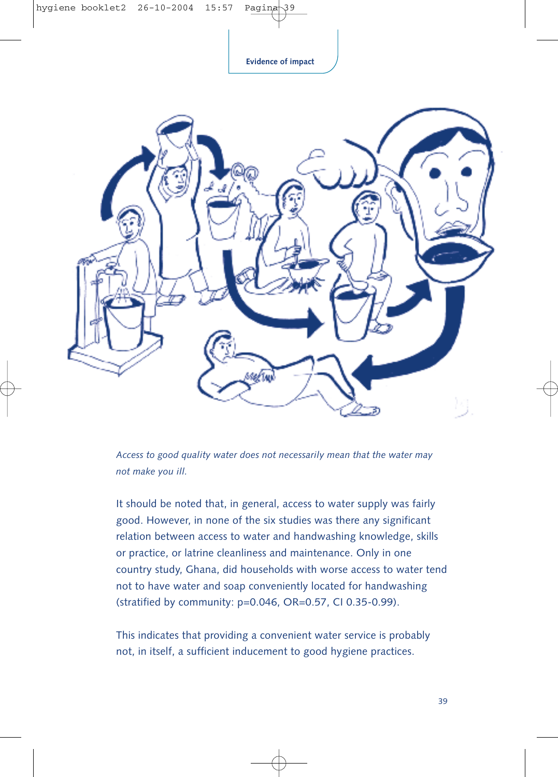

**Evidence of impact**



*Access to good quality water does not necessarily mean that the water may not make you ill.*

It should be noted that, in general, access to water supply was fairly good. However, in none of the six studies was there any significant relation between access to water and handwashing knowledge, skills or practice, or latrine cleanliness and maintenance. Only in one country study, Ghana, did households with worse access to water tend not to have water and soap conveniently located for handwashing (stratified by community: p=0.046, OR=0.57, CI 0.35-0.99).

This indicates that providing a convenient water service is probably not, in itself, a sufficient inducement to good hygiene practices.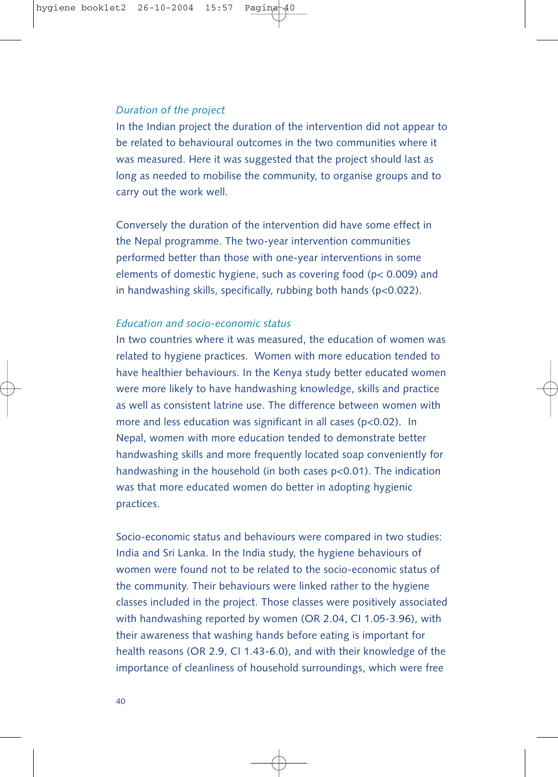#### *Duration of the project*

In the Indian project the duration of the intervention did not appear to be related to behavioural outcomes in the two communities where it was measured. Here it was suggested that the project should last as long as needed to mobilise the community, to organise groups and to carry out the work well.

Conversely the duration of the intervention did have some effect in the Nepal programme. The two-year intervention communities performed better than those with one-year interventions in some elements of domestic hygiene, such as covering food (p< 0.009) and in handwashing skills, specifically, rubbing both hands (p<0.022).

#### *Education and socio-economic status*

In two countries where it was measured, the education of women was related to hygiene practices. Women with more education tended to have healthier behaviours. In the Kenya study better educated women were more likely to have handwashing knowledge, skills and practice as well as consistent latrine use. The difference between women with more and less education was significant in all cases (p<0.02). In Nepal, women with more education tended to demonstrate better handwashing skills and more frequently located soap conveniently for handwashing in the household (in both cases p<0.01). The indication was that more educated women do better in adopting hygienic practices.

Socio-economic status and behaviours were compared in two studies: India and Sri Lanka. In the India study, the hygiene behaviours of women were found not to be related to the socio-economic status of the community. Their behaviours were linked rather to the hygiene classes included in the project. Those classes were positively associated with handwashing reported by women (OR 2.04, CI 1.05-3.96), with their awareness that washing hands before eating is important for health reasons (OR 2.9, CI 1.43-6.0), and with their knowledge of the importance of cleanliness of household surroundings, which were free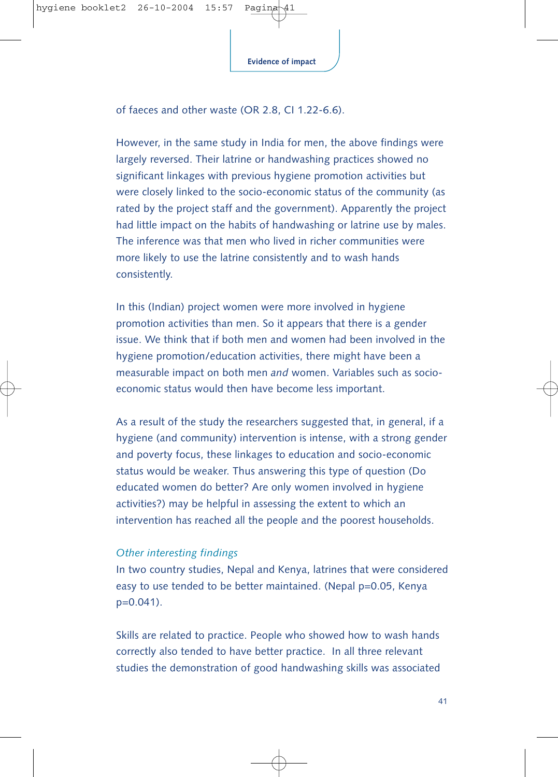**Evidence of impact**

of faeces and other waste (OR 2.8, CI 1.22-6.6).

However, in the same study in India for men, the above findings were largely reversed. Their latrine or handwashing practices showed no significant linkages with previous hygiene promotion activities but were closely linked to the socio-economic status of the community (as rated by the project staff and the government). Apparently the project had little impact on the habits of handwashing or latrine use by males. The inference was that men who lived in richer communities were more likely to use the latrine consistently and to wash hands consistently.

In this (Indian) project women were more involved in hygiene promotion activities than men. So it appears that there is a gender issue. We think that if both men and women had been involved in the hygiene promotion/education activities, there might have been a measurable impact on both men *and* women. Variables such as socioeconomic status would then have become less important.

As a result of the study the researchers suggested that, in general, if a hygiene (and community) intervention is intense, with a strong gender and poverty focus, these linkages to education and socio-economic status would be weaker. Thus answering this type of question (Do educated women do better? Are only women involved in hygiene activities?) may be helpful in assessing the extent to which an intervention has reached all the people and the poorest households.

#### *Other interesting findings*

In two country studies, Nepal and Kenya, latrines that were considered easy to use tended to be better maintained. (Nepal p=0.05, Kenya p=0.041).

Skills are related to practice. People who showed how to wash hands correctly also tended to have better practice. In all three relevant studies the demonstration of good handwashing skills was associated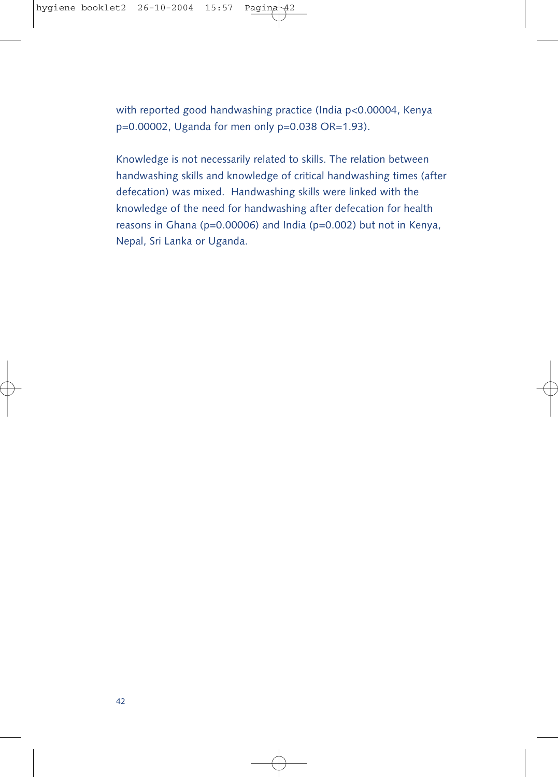with reported good handwashing practice (India p<0.00004, Kenya p=0.00002, Uganda for men only p=0.038 OR=1.93).

Knowledge is not necessarily related to skills. The relation between handwashing skills and knowledge of critical handwashing times (after defecation) was mixed. Handwashing skills were linked with the knowledge of the need for handwashing after defecation for health reasons in Ghana (p=0.00006) and India (p=0.002) but not in Kenya, Nepal, Sri Lanka or Uganda.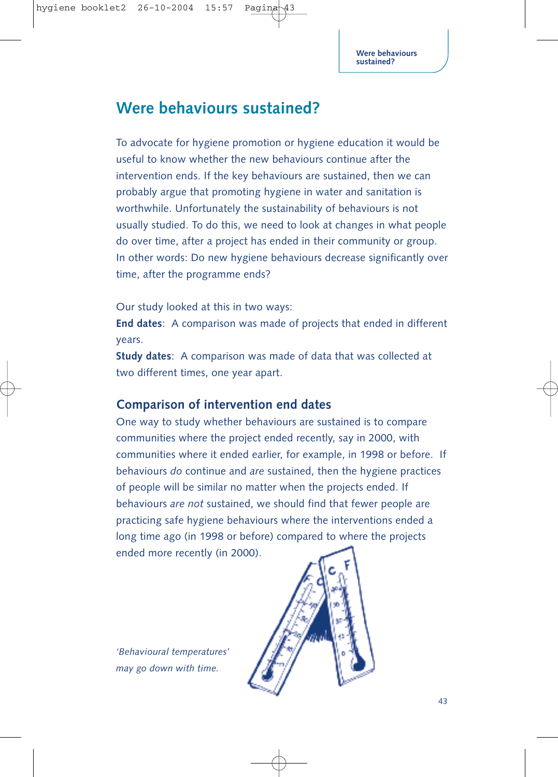**Were behaviours sustained?**

### **Were behaviours sustained?**

To advocate for hygiene promotion or hygiene education it would be useful to know whether the new behaviours continue after the intervention ends. If the key behaviours are sustained, then we can probably argue that promoting hygiene in water and sanitation is worthwhile. Unfortunately the sustainability of behaviours is not usually studied. To do this, we need to look at changes in what people do over time, after a project has ended in their community or group. In other words: Do new hygiene behaviours decrease significantly over time, after the programme ends?

Our study looked at this in two ways:

**End dates**: A comparison was made of projects that ended in different years.

**Study dates**: A comparison was made of data that was collected at two different times, one year apart.

#### **Comparison of intervention end dates**

One way to study whether behaviours are sustained is to compare communities where the project ended recently, say in 2000, with communities where it ended earlier, for example, in 1998 or before. If behaviours *do* continue and *are* sustained, then the hygiene practices of people will be similar no matter when the projects ended. If behaviours *are not* sustained, we should find that fewer people are practicing safe hygiene behaviours where the interventions ended a long time ago (in 1998 or before) compared to where the projects ended more recently (in 2000).

*'Behavioural temperatures' may go down with time.*

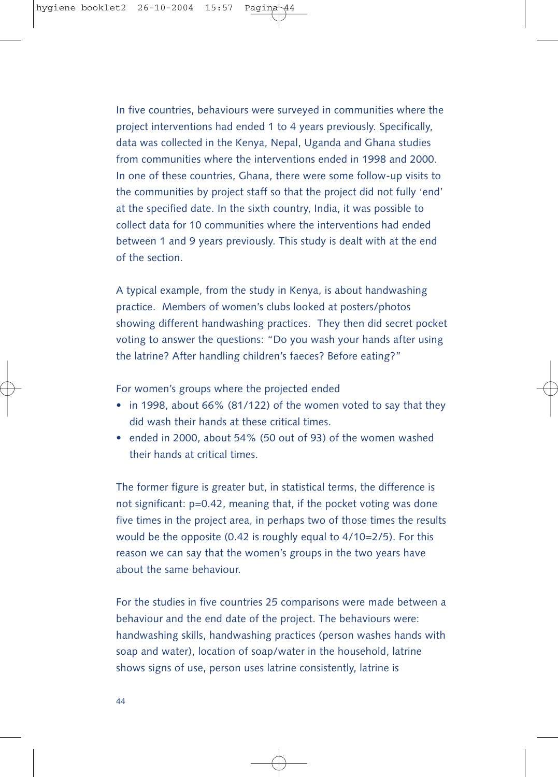In five countries, behaviours were surveyed in communities where the project interventions had ended 1 to 4 years previously. Specifically, data was collected in the Kenya, Nepal, Uganda and Ghana studies from communities where the interventions ended in 1998 and 2000. In one of these countries, Ghana, there were some follow-up visits to the communities by project staff so that the project did not fully 'end' at the specified date. In the sixth country, India, it was possible to collect data for 10 communities where the interventions had ended between 1 and 9 years previously. This study is dealt with at the end of the section.

A typical example, from the study in Kenya, is about handwashing practice. Members of women's clubs looked at posters/photos showing different handwashing practices. They then did secret pocket voting to answer the questions: "Do you wash your hands after using the latrine? After handling children's faeces? Before eating?"

For women's groups where the projected ended

- in 1998, about 66% (81/122) of the women voted to say that they did wash their hands at these critical times.
- ended in 2000, about 54% (50 out of 93) of the women washed their hands at critical times.

The former figure is greater but, in statistical terms, the difference is not significant: p=0.42, meaning that, if the pocket voting was done five times in the project area, in perhaps two of those times the results would be the opposite (0.42 is roughly equal to 4/10=2/5). For this reason we can say that the women's groups in the two years have about the same behaviour.

For the studies in five countries 25 comparisons were made between a behaviour and the end date of the project. The behaviours were: handwashing skills, handwashing practices (person washes hands with soap and water), location of soap/water in the household, latrine shows signs of use, person uses latrine consistently, latrine is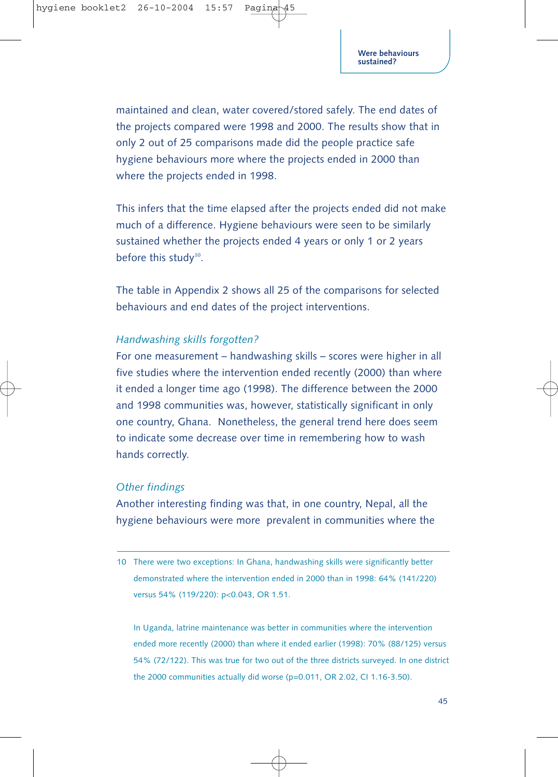maintained and clean, water covered/stored safely. The end dates of the projects compared were 1998 and 2000. The results show that in only 2 out of 25 comparisons made did the people practice safe hygiene behaviours more where the projects ended in 2000 than where the projects ended in 1998.

This infers that the time elapsed after the projects ended did not make much of a difference. Hygiene behaviours were seen to be similarly sustained whether the projects ended 4 years or only 1 or 2 years before this study<sup>10</sup>.

The table in Appendix 2 shows all 25 of the comparisons for selected behaviours and end dates of the project interventions.

#### *Handwashing skills forgotten?*

For one measurement – handwashing skills – scores were higher in all five studies where the intervention ended recently (2000) than where it ended a longer time ago (1998). The difference between the 2000 and 1998 communities was, however, statistically significant in only one country, Ghana. Nonetheless, the general trend here does seem to indicate some decrease over time in remembering how to wash hands correctly.

#### *Other findings*

Another interesting finding was that, in one country, Nepal, all the hygiene behaviours were more prevalent in communities where the

10 There were two exceptions: In Ghana, handwashing skills were significantly better demonstrated where the intervention ended in 2000 than in 1998: 64% (141/220) versus 54% (119/220): p<0.043, OR 1.51.

In Uganda, latrine maintenance was better in communities where the intervention ended more recently (2000) than where it ended earlier (1998): 70% (88/125) versus 54% (72/122). This was true for two out of the three districts surveyed. In one district the 2000 communities actually did worse (p=0.011, OR 2.02, CI 1.16-3.50).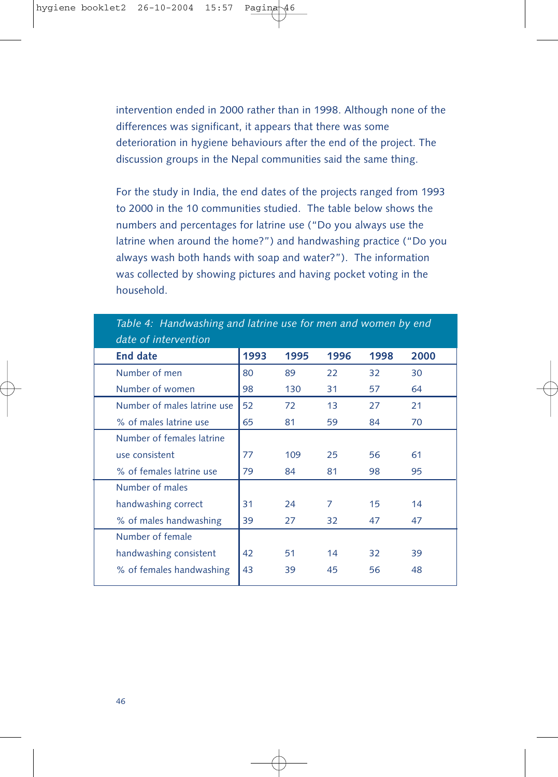intervention ended in 2000 rather than in 1998. Although none of the differences was significant, it appears that there was some deterioration in hygiene behaviours after the end of the project. The discussion groups in the Nepal communities said the same thing.

For the study in India, the end dates of the projects ranged from 1993 to 2000 in the 10 communities studied. The table below shows the numbers and percentages for latrine use ("Do you always use the latrine when around the home?") and handwashing practice ("Do you always wash both hands with soap and water?"). The information was collected by showing pictures and having pocket voting in the household.

| date of intervention        |      |      |      |      |      |
|-----------------------------|------|------|------|------|------|
| <b>End date</b>             | 1993 | 1995 | 1996 | 1998 | 2000 |
| Number of men               | 80   | 89   | 22   | 32   | 30   |
| Number of women             | 98   | 130  | 31   | 57   | 64   |
| Number of males latrine use | 52   | 72   | 13   | 27   | 21   |
| % of males latrine use      | 65   | 81   | 59   | 84   | 70   |
| Number of females latrine   |      |      |      |      |      |
| use consistent              | 77   | 109  | 25   | 56   | 61   |
| % of females latrine use    | 79   | 84   | 81   | 98   | 95   |
| Number of males             |      |      |      |      |      |
| handwashing correct         | 31   | 24   | 7    | 15   | 14   |
| % of males handwashing      | 39   | 27   | 32   | 47   | 47   |
| Number of female            |      |      |      |      |      |
| handwashing consistent      | 42   | 51   | 14   | 32   | 39   |
| % of females handwashing    | 43   | 39   | 45   | 56   | 48   |

46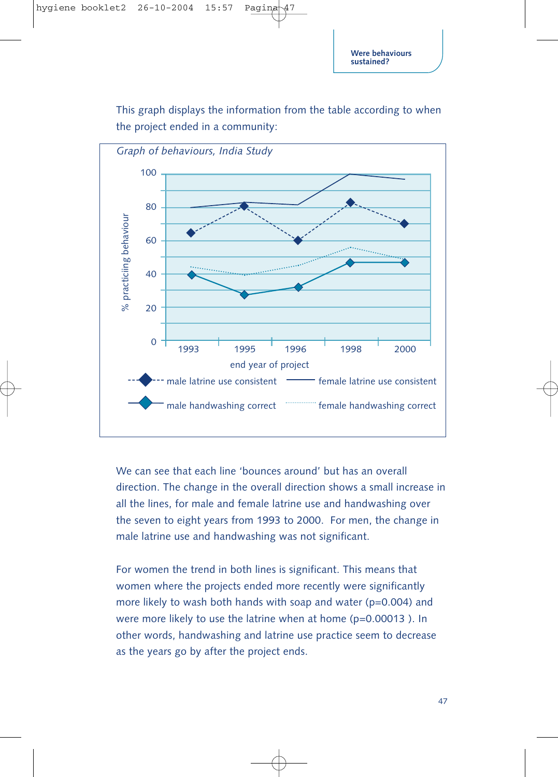

This graph displays the information from the table according to when the project ended in a community:

We can see that each line 'bounces around' but has an overall direction. The change in the overall direction shows a small increase in all the lines, for male and female latrine use and handwashing over the seven to eight years from 1993 to 2000. For men, the change in male latrine use and handwashing was not significant.

For women the trend in both lines is significant. This means that women where the projects ended more recently were significantly more likely to wash both hands with soap and water (p=0.004) and were more likely to use the latrine when at home (p=0.00013 ). In other words, handwashing and latrine use practice seem to decrease as the years go by after the project ends.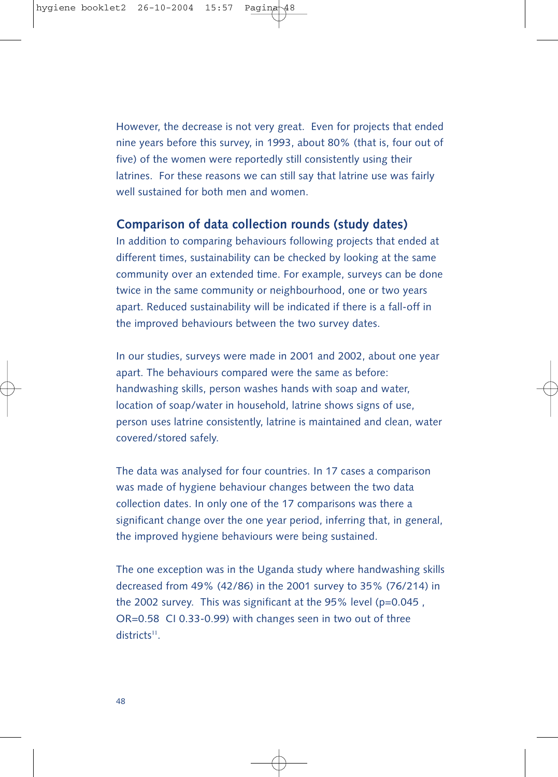However, the decrease is not very great. Even for projects that ended nine years before this survey, in 1993, about 80% (that is, four out of five) of the women were reportedly still consistently using their latrines. For these reasons we can still say that latrine use was fairly well sustained for both men and women.

#### **Comparison of data collection rounds (study dates)**

In addition to comparing behaviours following projects that ended at different times, sustainability can be checked by looking at the same community over an extended time. For example, surveys can be done twice in the same community or neighbourhood, one or two years apart. Reduced sustainability will be indicated if there is a fall-off in the improved behaviours between the two survey dates.

In our studies, surveys were made in 2001 and 2002, about one year apart. The behaviours compared were the same as before: handwashing skills, person washes hands with soap and water, location of soap/water in household, latrine shows signs of use, person uses latrine consistently, latrine is maintained and clean, water covered/stored safely.

The data was analysed for four countries. In 17 cases a comparison was made of hygiene behaviour changes between the two data collection dates. In only one of the 17 comparisons was there a significant change over the one year period, inferring that, in general, the improved hygiene behaviours were being sustained.

The one exception was in the Uganda study where handwashing skills decreased from 49% (42/86) in the 2001 survey to 35% (76/214) in the 2002 survey. This was significant at the 95% level ( $p=0.045$ ), OR=0.58 CI 0.33-0.99) with changes seen in two out of three districts<sup>11</sup>.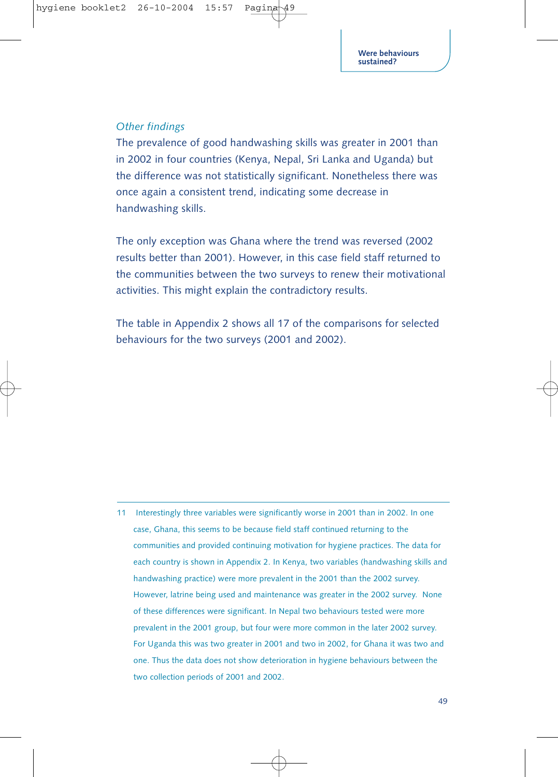#### *Other findings*

The prevalence of good handwashing skills was greater in 2001 than in 2002 in four countries (Kenya, Nepal, Sri Lanka and Uganda) but the difference was not statistically significant. Nonetheless there was once again a consistent trend, indicating some decrease in handwashing skills.

The only exception was Ghana where the trend was reversed (2002 results better than 2001). However, in this case field staff returned to the communities between the two surveys to renew their motivational activities. This might explain the contradictory results.

The table in Appendix 2 shows all 17 of the comparisons for selected behaviours for the two surveys (2001 and 2002).

11 Interestingly three variables were significantly worse in 2001 than in 2002. In one case, Ghana, this seems to be because field staff continued returning to the communities and provided continuing motivation for hygiene practices. The data for each country is shown in Appendix 2. In Kenya, two variables (handwashing skills and handwashing practice) were more prevalent in the 2001 than the 2002 survey. However, latrine being used and maintenance was greater in the 2002 survey. None of these differences were significant. In Nepal two behaviours tested were more prevalent in the 2001 group, but four were more common in the later 2002 survey. For Uganda this was two greater in 2001 and two in 2002, for Ghana it was two and one. Thus the data does not show deterioration in hygiene behaviours between the two collection periods of 2001 and 2002.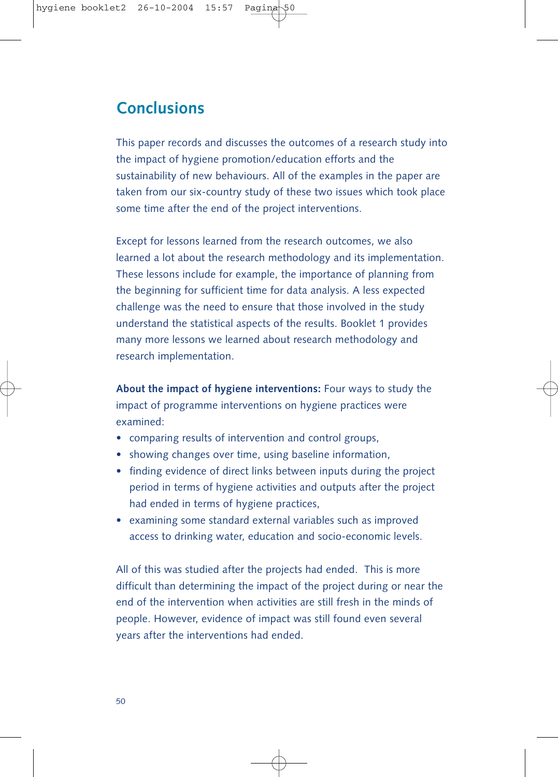hygiene booklet2 26-10-2004

### **Conclusions**

This paper records and discusses the outcomes of a research study into the impact of hygiene promotion/education efforts and the sustainability of new behaviours. All of the examples in the paper are taken from our six-country study of these two issues which took place some time after the end of the project interventions.

Except for lessons learned from the research outcomes, we also learned a lot about the research methodology and its implementation. These lessons include for example, the importance of planning from the beginning for sufficient time for data analysis. A less expected challenge was the need to ensure that those involved in the study understand the statistical aspects of the results. Booklet 1 provides many more lessons we learned about research methodology and research implementation.

**About the impact of hygiene interventions:** Four ways to study the impact of programme interventions on hygiene practices were examined:

- comparing results of intervention and control groups,
- showing changes over time, using baseline information,
- finding evidence of direct links between inputs during the project period in terms of hygiene activities and outputs after the project had ended in terms of hygiene practices,
- examining some standard external variables such as improved access to drinking water, education and socio-economic levels.

All of this was studied after the projects had ended. This is more difficult than determining the impact of the project during or near the end of the intervention when activities are still fresh in the minds of people. However, evidence of impact was still found even several years after the interventions had ended.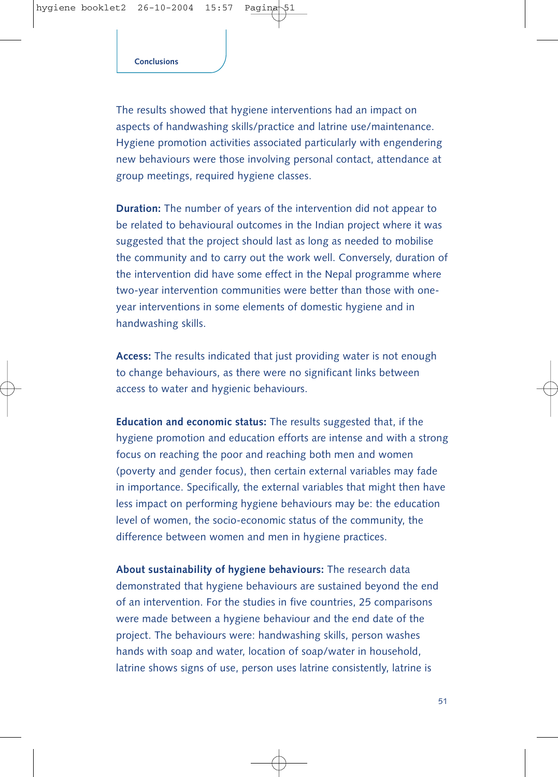**Conclusions**

The results showed that hygiene interventions had an impact on aspects of handwashing skills/practice and latrine use/maintenance. Hygiene promotion activities associated particularly with engendering new behaviours were those involving personal contact, attendance at group meetings, required hygiene classes.

**Duration:** The number of years of the intervention did not appear to be related to behavioural outcomes in the Indian project where it was suggested that the project should last as long as needed to mobilise the community and to carry out the work well. Conversely, duration of the intervention did have some effect in the Nepal programme where two-year intervention communities were better than those with oneyear interventions in some elements of domestic hygiene and in handwashing skills.

**Access:** The results indicated that just providing water is not enough to change behaviours, as there were no significant links between access to water and hygienic behaviours.

**Education and economic status:** The results suggested that, if the hygiene promotion and education efforts are intense and with a strong focus on reaching the poor and reaching both men and women (poverty and gender focus), then certain external variables may fade in importance. Specifically, the external variables that might then have less impact on performing hygiene behaviours may be: the education level of women, the socio-economic status of the community, the difference between women and men in hygiene practices.

**About sustainability of hygiene behaviours:** The research data demonstrated that hygiene behaviours are sustained beyond the end of an intervention. For the studies in five countries, 25 comparisons were made between a hygiene behaviour and the end date of the project. The behaviours were: handwashing skills, person washes hands with soap and water, location of soap/water in household, latrine shows signs of use, person uses latrine consistently, latrine is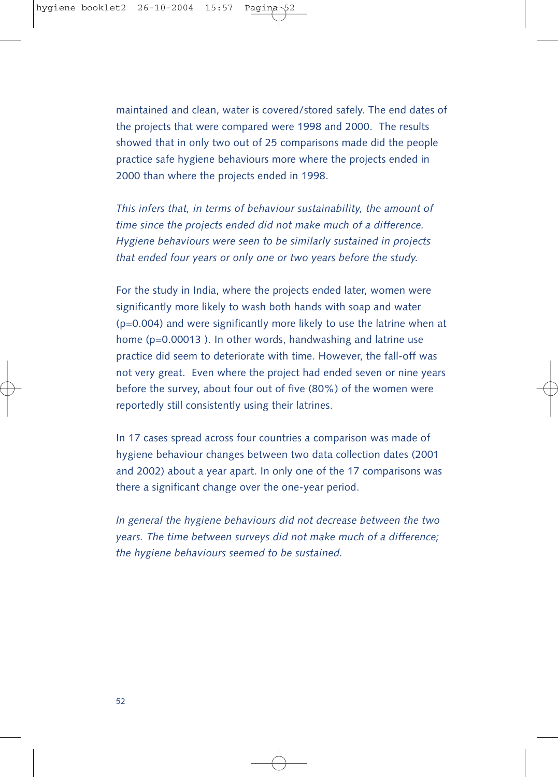maintained and clean, water is covered/stored safely. The end dates of the projects that were compared were 1998 and 2000. The results showed that in only two out of 25 comparisons made did the people practice safe hygiene behaviours more where the projects ended in 2000 than where the projects ended in 1998.

*This infers that, in terms of behaviour sustainability, the amount of time since the projects ended did not make much of a difference. Hygiene behaviours were seen to be similarly sustained in projects that ended four years or only one or two years before the study.*

For the study in India, where the projects ended later, women were significantly more likely to wash both hands with soap and water (p=0.004) and were significantly more likely to use the latrine when at home (p=0.00013 ). In other words, handwashing and latrine use practice did seem to deteriorate with time. However, the fall-off was not very great. Even where the project had ended seven or nine years before the survey, about four out of five (80%) of the women were reportedly still consistently using their latrines.

In 17 cases spread across four countries a comparison was made of hygiene behaviour changes between two data collection dates (2001 and 2002) about a year apart. In only one of the 17 comparisons was there a significant change over the one-year period.

*In general the hygiene behaviours did not decrease between the two years. The time between surveys did not make much of a difference; the hygiene behaviours seemed to be sustained.*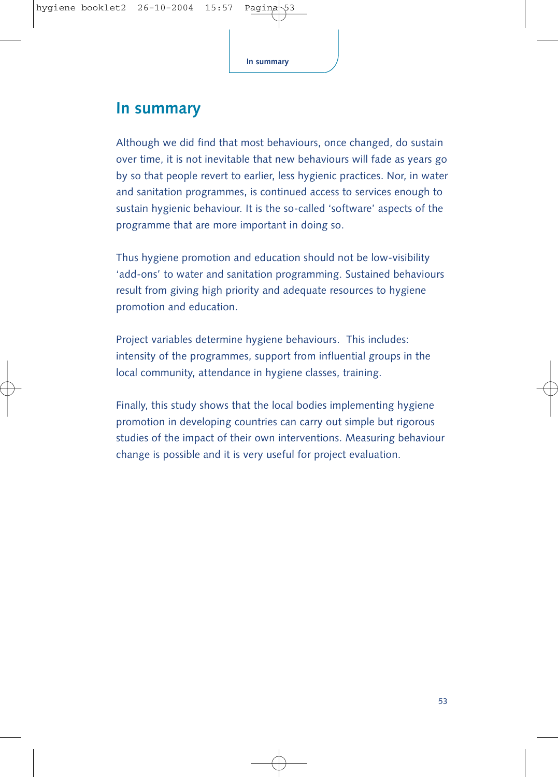**In summary**

### **In summary**

Although we did find that most behaviours, once changed, do sustain over time, it is not inevitable that new behaviours will fade as years go by so that people revert to earlier, less hygienic practices. Nor, in water and sanitation programmes, is continued access to services enough to sustain hygienic behaviour. It is the so-called 'software' aspects of the programme that are more important in doing so.

Thus hygiene promotion and education should not be low-visibility 'add-ons' to water and sanitation programming. Sustained behaviours result from giving high priority and adequate resources to hygiene promotion and education.

Project variables determine hygiene behaviours. This includes: intensity of the programmes, support from influential groups in the local community, attendance in hygiene classes, training.

Finally, this study shows that the local bodies implementing hygiene promotion in developing countries can carry out simple but rigorous studies of the impact of their own interventions. Measuring behaviour change is possible and it is very useful for project evaluation.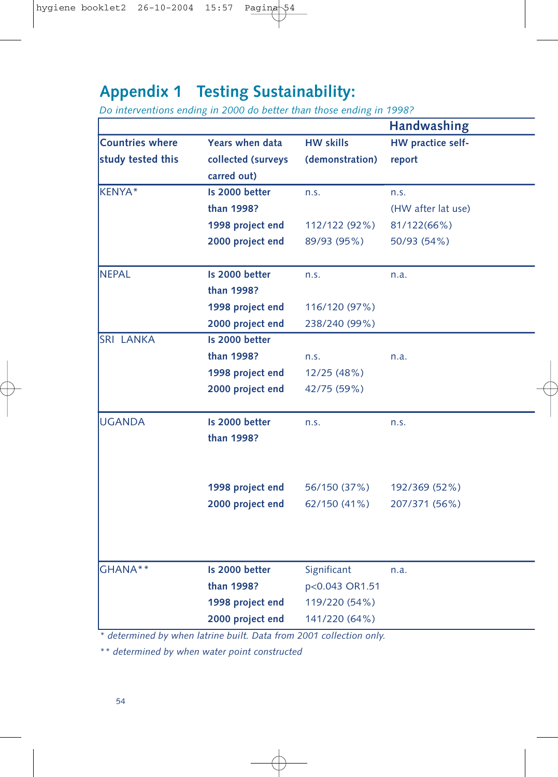### **Appendix 1 Testing Sustainability:**

*Do interventions ending in 2000 do better than those ending in 1998?*

|                        |                    |                  | <b>Handwashing</b> |
|------------------------|--------------------|------------------|--------------------|
| <b>Countries where</b> | Years when data    | <b>HW skills</b> | HW practice self-  |
| study tested this      | collected (surveys | (demonstration)  | report             |
|                        | carred out)        |                  |                    |
| <b>KENYA*</b>          | Is 2000 better     | n.s.             | n.s.               |
|                        | than 1998?         |                  | (HW after lat use) |
|                        | 1998 project end   | 112/122 (92%)    | 81/122(66%)        |
|                        | 2000 project end   | 89/93 (95%)      | 50/93 (54%)        |
| <b>NEPAL</b>           | Is 2000 better     | n.s.             | n.a.               |
|                        | than 1998?         |                  |                    |
|                        | 1998 project end   | 116/120 (97%)    |                    |
|                        | 2000 project end   | 238/240 (99%)    |                    |
| <b>SRI LANKA</b>       | Is 2000 better     |                  |                    |
|                        | than 1998?         | n.s.             | n.a.               |
|                        | 1998 project end   | 12/25 (48%)      |                    |
|                        | 2000 project end   | 42/75 (59%)      |                    |
| <b>UGANDA</b>          | Is 2000 better     | n.s.             | n.s.               |
|                        | than 1998?         |                  |                    |
|                        | 1998 project end   | 56/150 (37%)     | 192/369 (52%)      |
|                        | 2000 project end   | 62/150 (41%)     | 207/371 (56%)      |
|                        |                    |                  |                    |
| GHANA**                | Is 2000 better     | Significant      | n.a.               |
|                        | than 1998?         | p<0.043 OR1.51   |                    |
|                        | 1998 project end   | 119/220 (54%)    |                    |
|                        | 2000 project end   | 141/220 (64%)    |                    |

*\* determined by when latrine built. Data from 2001 collection only.*

*\*\* determined by when water point constructed*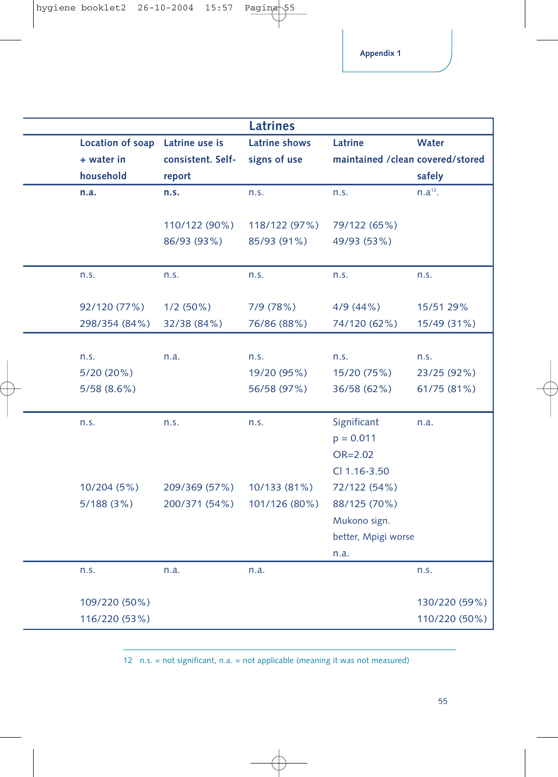hygiene booklet2 26-10-2004 15:57 Pagina 55

**Appendix 1**

|               |                         |                   | <b>Latrines</b>      |                                   |               |
|---------------|-------------------------|-------------------|----------------------|-----------------------------------|---------------|
|               | <b>Location of soap</b> | Latrine use is    | <b>Latrine shows</b> | Latrine                           | Water         |
| + water in    |                         | consistent. Self- | signs of use         | maintained / clean covered/stored |               |
| household     | report                  |                   |                      |                                   | safely        |
| n.a.          | n.s.                    |                   | n.s.                 | n.s.                              | $n.a^{12}$ .  |
|               |                         |                   |                      |                                   |               |
|               |                         | 110/122 (90%)     | 118/122 (97%)        | 79/122 (65%)                      |               |
|               |                         | 86/93 (93%)       | 85/93 (91%)          | 49/93 (53%)                       |               |
| n.s.          | n.s.                    |                   | n.s.                 | n.s.                              | n.s.          |
|               |                         |                   |                      |                                   |               |
| 92/120 (77%)  | $1/2(50\%)$             |                   | 7/9 (78%)            | 4/9(44%)                          | 15/51 29%     |
| 298/354 (84%) |                         | 32/38 (84%)       | 76/86 (88%)          | 74/120 (62%)                      | 15/49 (31%)   |
|               |                         |                   |                      |                                   |               |
| n.s.          | n.a.                    |                   | n.s.                 | n.s.                              | n.s.          |
| 5/20 (20%)    |                         |                   | 19/20 (95%)          | 15/20 (75%)                       | 23/25 (92%)   |
| 5/58(8.6%)    |                         |                   | 56/58 (97%)          | 36/58 (62%)                       | 61/75 (81%)   |
| n.s.          | n.s.                    |                   | n.s.                 | Significant                       | n.a.          |
|               |                         |                   |                      | $p = 0.011$                       |               |
|               |                         |                   |                      | $OR = 2.02$                       |               |
|               |                         |                   |                      | CI 1.16-3.50                      |               |
| 10/204 (5%)   |                         | 209/369 (57%)     | 10/133 (81%)         | 72/122 (54%)                      |               |
| 5/188 (3%)    |                         | 200/371 (54%)     | 101/126 (80%)        | 88/125 (70%)                      |               |
|               |                         |                   |                      | Mukono sign.                      |               |
|               |                         |                   |                      | better, Mpigi worse               |               |
|               |                         |                   |                      | n.a.                              |               |
| n.s.          | n.a.                    |                   | n.a.                 |                                   | n.s.          |
|               |                         |                   |                      |                                   |               |
| 109/220 (50%) |                         |                   |                      |                                   | 130/220 (59%) |
| 116/220 (53%) |                         |                   |                      |                                   | 110/220 (50%) |

12 n.s. = not significant, n.a. = not applicable (meaning it was not measured)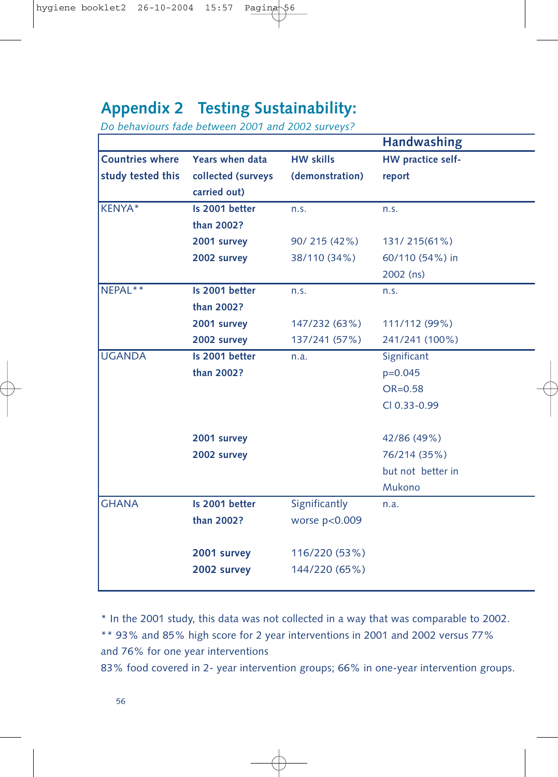### **Appendix 2 Testing Sustainability:**

*Do behaviours fade between 2001 and 2002 surveys?*

|                        |                    |                  | <b>Handwashing</b> |  |
|------------------------|--------------------|------------------|--------------------|--|
| <b>Countries where</b> | Years when data    | <b>HW skills</b> | HW practice self-  |  |
| study tested this      | collected (surveys | (demonstration)  | report             |  |
|                        | carried out)       |                  |                    |  |
| <b>KENYA*</b>          | Is 2001 better     | n.s.             | n.s.               |  |
|                        | than 2002?         |                  |                    |  |
|                        | 2001 survey        | 90/215 (42%)     | 131/215(61%)       |  |
|                        | 2002 survey        | 38/110 (34%)     | 60/110 (54%) in    |  |
|                        |                    |                  | 2002 (ns)          |  |
| NEPAL**                | Is 2001 better     | n.s.             | n.s.               |  |
|                        | than 2002?         |                  |                    |  |
|                        | 2001 survey        | 147/232 (63%)    | 111/112 (99%)      |  |
|                        | 2002 survey        | 137/241 (57%)    | 241/241 (100%)     |  |
| <b>UGANDA</b>          | Is 2001 better     | n.a.             | Significant        |  |
|                        | than 2002?         |                  | $p=0.045$          |  |
|                        |                    |                  | $OR = 0.58$        |  |
|                        |                    |                  | CI 0.33-0.99       |  |
|                        | 2001 survey        |                  | 42/86 (49%)        |  |
|                        | 2002 survey        |                  | 76/214 (35%)       |  |
|                        |                    |                  | but not better in  |  |
|                        |                    |                  | Mukono             |  |
| <b>GHANA</b>           | Is 2001 better     | Significantly    | n.a.               |  |
|                        | than 2002?         | worse p<0.009    |                    |  |
|                        | 2001 survey        | 116/220 (53%)    |                    |  |
|                        | 2002 survey        | 144/220 (65%)    |                    |  |
|                        |                    |                  |                    |  |

\* In the 2001 study, this data was not collected in a way that was comparable to 2002. \*\* 93% and 85% high score for 2 year interventions in 2001 and 2002 versus 77%

and 76% for one year interventions

83% food covered in 2- year intervention groups; 66% in one-year intervention groups.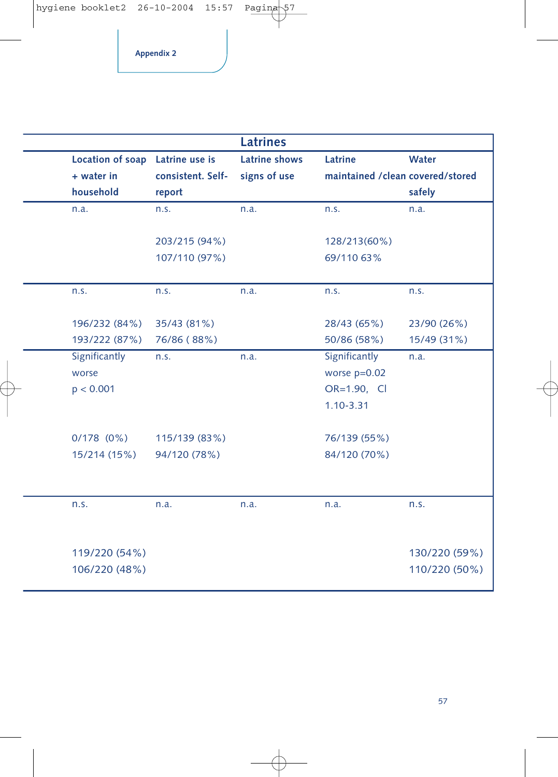# hygiene booklet2 26-10-2004 15:57 Pagina 57

**Appendix 2**

|                                 |                   | <b>Latrines</b>                                   |                |               |  |
|---------------------------------|-------------------|---------------------------------------------------|----------------|---------------|--|
| Location of soap Latrine use is |                   | <b>Latrine shows</b>                              | Latrine        | Water         |  |
| + water in                      | consistent. Self- | signs of use<br>maintained / clean covered/stored |                |               |  |
| household                       | report            |                                                   |                | safely        |  |
| n.a.                            | n.s.              | n.a.                                              | n.s.           | n.a.          |  |
|                                 | 203/215 (94%)     |                                                   | 128/213(60%)   |               |  |
|                                 | 107/110 (97%)     |                                                   | 69/110 63%     |               |  |
| n.s.                            | n.s.              | n.a.                                              | n.s.           | n.s.          |  |
| 196/232 (84%)                   | 35/43 (81%)       |                                                   | 28/43 (65%)    | 23/90 (26%)   |  |
| 193/222 (87%)                   | 76/86 (88%)       |                                                   | 50/86 (58%)    | 15/49 (31%)   |  |
| Significantly                   | n.S.              | n.a.                                              | Significantly  | n.a.          |  |
| worse                           |                   |                                                   | worse $p=0.02$ |               |  |
| p < 0.001                       |                   |                                                   | OR=1.90, Cl    |               |  |
|                                 |                   |                                                   | $1.10 - 3.31$  |               |  |
| $0/178$ $(0%)$                  | 115/139 (83%)     |                                                   | 76/139 (55%)   |               |  |
| 15/214 (15%)                    | 94/120 (78%)      |                                                   | 84/120 (70%)   |               |  |
|                                 |                   |                                                   |                |               |  |
| n.s.                            | n.a.              | n.a.                                              | n.a.           | n.s.          |  |
| 119/220 (54%)                   |                   |                                                   |                | 130/220 (59%) |  |
| 106/220 (48%)                   |                   |                                                   |                | 110/220 (50%) |  |

57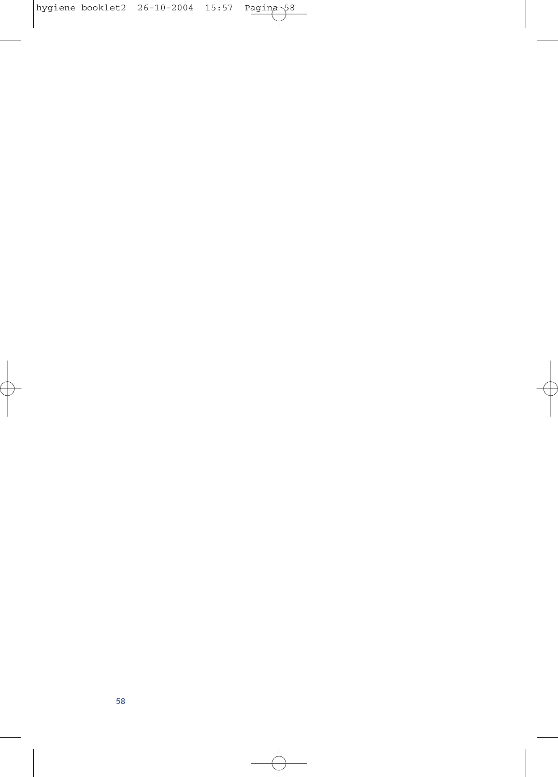hygiene booklet2 26-10-2004 15:57 Pagina 58

Æ

 $\oplus$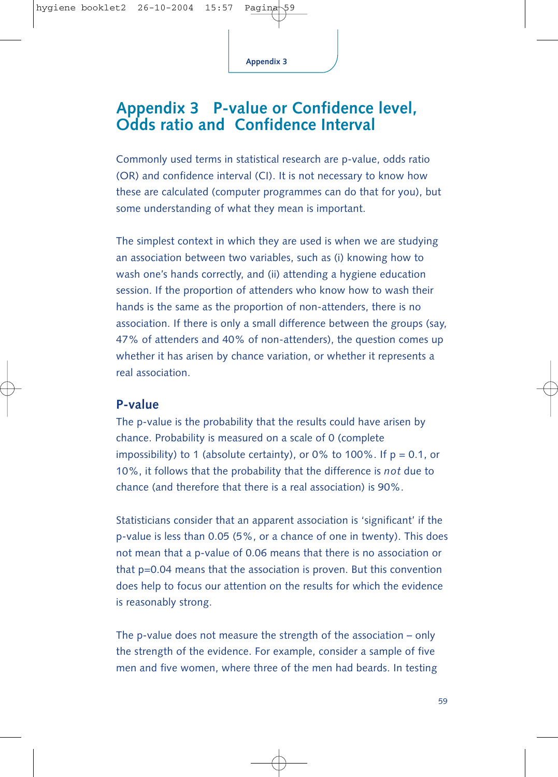**Appendix 3**

### **Appendix 3 P-value or Confidence level, Odds ratio and Confidence Interval**

Commonly used terms in statistical research are p-value, odds ratio (OR) and confidence interval (CI). It is not necessary to know how these are calculated (computer programmes can do that for you), but some understanding of what they mean is important.

The simplest context in which they are used is when we are studying an association between two variables, such as (i) knowing how to wash one's hands correctly, and (ii) attending a hygiene education session. If the proportion of attenders who know how to wash their hands is the same as the proportion of non-attenders, there is no association. If there is only a small difference between the groups (say, 47% of attenders and 40% of non-attenders), the question comes up whether it has arisen by chance variation, or whether it represents a real association.

#### **P-value**

The p-value is the probability that the results could have arisen by chance. Probability is measured on a scale of 0 (complete impossibility) to 1 (absolute certainty), or 0% to 100%. If  $p = 0.1$ , or 10%, it follows that the probability that the difference is *not* due to chance (and therefore that there is a real association) is 90%.

Statisticians consider that an apparent association is 'significant' if the p-value is less than 0.05 (5%, or a chance of one in twenty). This does not mean that a p-value of 0.06 means that there is no association or that p=0.04 means that the association is proven. But this convention does help to focus our attention on the results for which the evidence is reasonably strong.

The p-value does not measure the strength of the association – only the strength of the evidence. For example, consider a sample of five men and five women, where three of the men had beards. In testing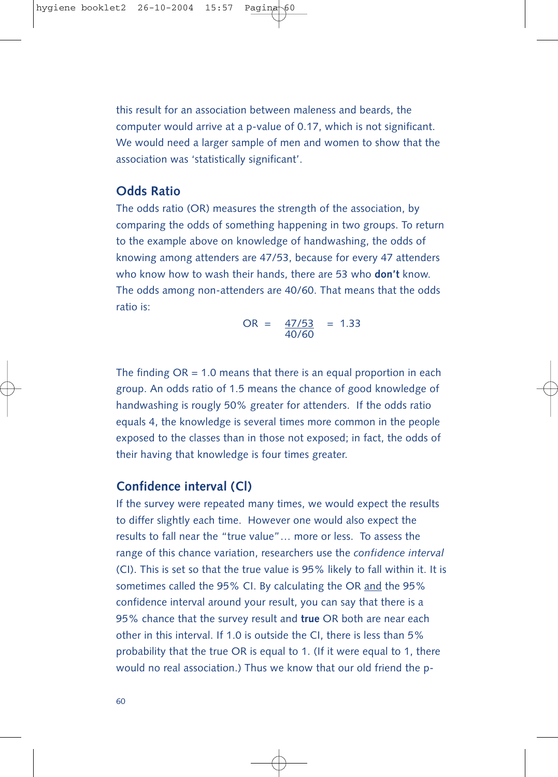this result for an association between maleness and beards, the computer would arrive at a p-value of 0.17, which is not significant. We would need a larger sample of men and women to show that the association was 'statistically significant'.

#### **Odds Ratio**

The odds ratio (OR) measures the strength of the association, by comparing the odds of something happening in two groups. To return to the example above on knowledge of handwashing, the odds of knowing among attenders are 47/53, because for every 47 attenders who know how to wash their hands, there are 53 who **don't** know. The odds among non-attenders are 40/60. That means that the odds ratio is:

> OR =  $\frac{47/53}{ }$  = 1.33 40/60

The finding  $OR = 1.0$  means that there is an equal proportion in each group. An odds ratio of 1.5 means the chance of good knowledge of handwashing is rougly 50% greater for attenders. If the odds ratio equals 4, the knowledge is several times more common in the people exposed to the classes than in those not exposed; in fact, the odds of their having that knowledge is four times greater.

#### **Confidence interval (Cl)**

If the survey were repeated many times, we would expect the results to differ slightly each time. However one would also expect the results to fall near the "true value"… more or less. To assess the range of this chance variation, researchers use the *confidence interval* (CI). This is set so that the true value is 95% likely to fall within it. It is sometimes called the 95% CI. By calculating the OR and the 95% confidence interval around your result, you can say that there is a 95% chance that the survey result and **true** OR both are near each other in this interval. If 1.0 is outside the CI, there is less than 5% probability that the true OR is equal to 1. (If it were equal to 1, there would no real association.) Thus we know that our old friend the p-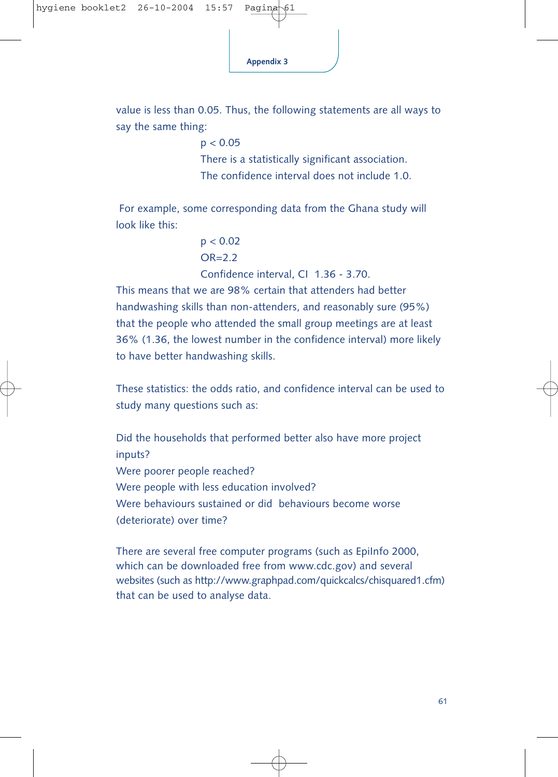

value is less than 0.05. Thus, the following statements are all ways to say the same thing:

 $p < 0.05$ 

There is a statistically significant association. The confidence interval does not include 1.0.

For example, some corresponding data from the Ghana study will look like this:

$$
p < 0.02
$$
\n
$$
OR = 2.2
$$

Confidence interval, CI 1.36 - 3.70.

This means that we are 98% certain that attenders had better handwashing skills than non-attenders, and reasonably sure (95%) that the people who attended the small group meetings are at least 36% (1.36, the lowest number in the confidence interval) more likely to have better handwashing skills.

These statistics: the odds ratio, and confidence interval can be used to study many questions such as:

Did the households that performed better also have more project inputs? Were poorer people reached? Were people with less education involved? Were behaviours sustained or did behaviours become worse (deteriorate) over time?

There are several free computer programs (such as EpiInfo 2000, which can be downloaded free from www.cdc.gov) and several websites (such as http://www.graphpad.com/quickcalcs/chisquared1.cfm) that can be used to analyse data.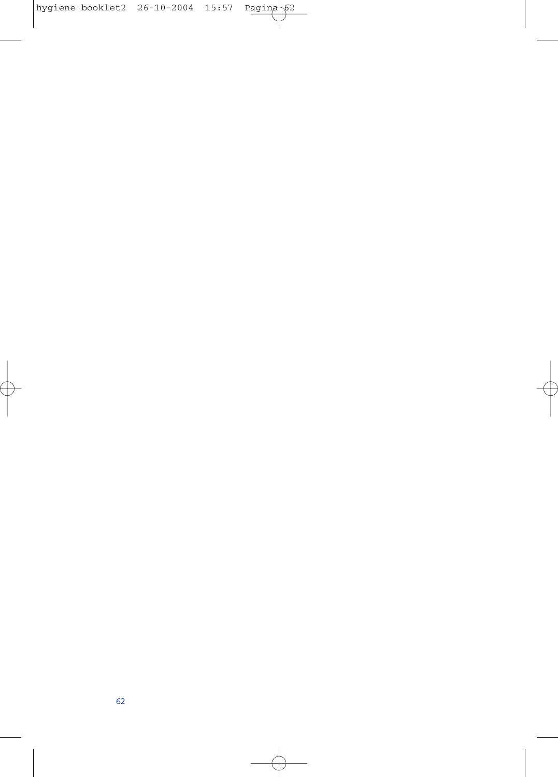hygiene booklet2 26-10-2004 15:57 Pagina 62

╬

 $\oplus$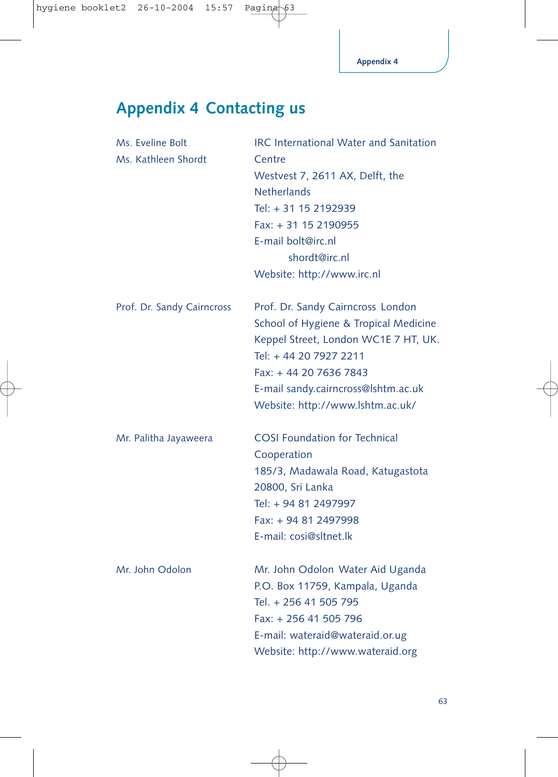hygiene booklet2 26-10-2004 15:57 Pagina  $63$ 

**Appendix 4**

# **Appendix 4 Contacting us**

| Ms. Eveline Bolt           | <b>IRC</b> International Water and Sanitation |
|----------------------------|-----------------------------------------------|
| Ms. Kathleen Shordt        | Centre                                        |
|                            | Westvest 7, 2611 AX, Delft, the               |
|                            | <b>Netherlands</b>                            |
|                            | Tel: + 31 15 2192939                          |
|                            | Fax: +31 15 2190955                           |
|                            | E-mail bolt@irc.nl                            |
|                            | shordt@irc.nl                                 |
|                            | Website: http://www.irc.nl                    |
| Prof. Dr. Sandy Cairncross | Prof. Dr. Sandy Cairncross London             |
|                            | School of Hygiene & Tropical Medicine         |
|                            | Keppel Street, London WC1E 7 HT, UK.          |
|                            | Tel: +44 20 7927 2211                         |
|                            | Fax: +44 20 7636 7843                         |
|                            | E-mail sandy.cairncross@lshtm.ac.uk           |
|                            | Website: http://www.lshtm.ac.uk/              |
| Mr. Palitha Jayaweera      | <b>COSI Foundation for Technical</b>          |
|                            | Cooperation                                   |
|                            | 185/3, Madawala Road, Katugastota             |
|                            | 20800, Sri Lanka                              |
|                            | Tel: + 94 81 2497997                          |
|                            | Fax: + 94 81 2497998                          |
|                            | E-mail: cosi@sltnet.lk                        |
| Mr. John Odolon            | Mr. John Odolon Water Aid Uganda              |
|                            | P.O. Box 11759, Kampala, Uganda               |
|                            | Tel. + 256 41 505 795                         |
|                            | Fax: +256 41 505 796                          |
|                            | E-mail: wateraid@wateraid.or.ug               |
|                            | Website: http://www.wateraid.org              |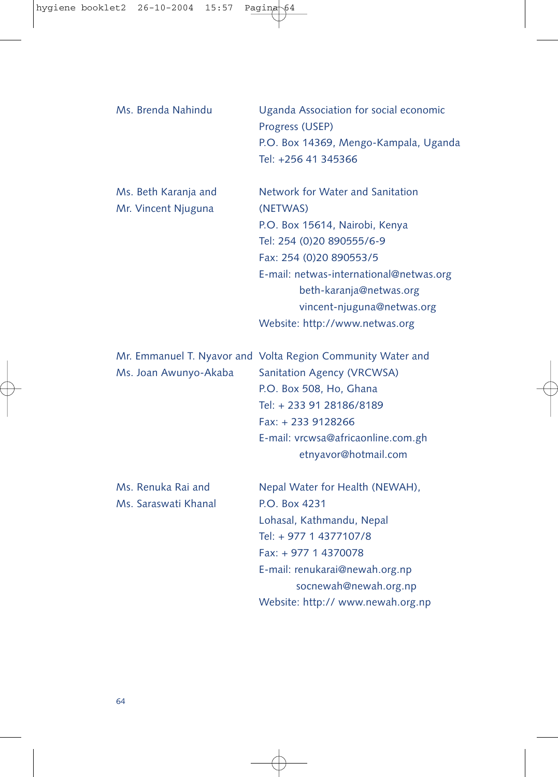hygiene booklet2 26-10-2004 15:57 Pagi

Uganda Association for social economic Progress (USEP) P.O. Box 14369, Mengo-Kampala, Uganda Tel: +256 41 345366 Network for Water and Sanitation (NETWAS) P.O. Box 15614, Nairobi, Kenya Tel: 254 (0)20 890555/6-9 Fax: 254 (0)20 890553/5 E-mail: netwas-international@netwas.org beth-karanja@netwas.org vincent-njuguna@netwas.org Website: http://www.netwas.org Mr. Emmanuel T. Nyavor and Volta Region Community Water and Sanitation Agency (VRCWSA) P.O. Box 508, Ho, Ghana Tel: + 233 91 28186/8189 Fax: + 233 9128266 E-mail: vrcwsa@africaonline.com.gh etnyavor@hotmail.com Nepal Water for Health (NEWAH), Ms. Brenda Nahindu Ms. Beth Karanja and Mr. Vincent Njuguna Ms. Joan Awunyo-Akaba Ms. Renuka Rai and

| ivis. Renuka Rai and | Nepal Water for Health (NEWAH),   |
|----------------------|-----------------------------------|
| Ms. Saraswati Khanal | P.O. Box 4231                     |
|                      | Lohasal, Kathmandu, Nepal         |
|                      | Tel: +977 1 4377107/8             |
|                      | Fax: + 977 1 4370078              |
|                      | E-mail: renukarai@newah.org.np    |
|                      | socnewah@newah.org.np             |
|                      | Website: http:// www.newah.org.np |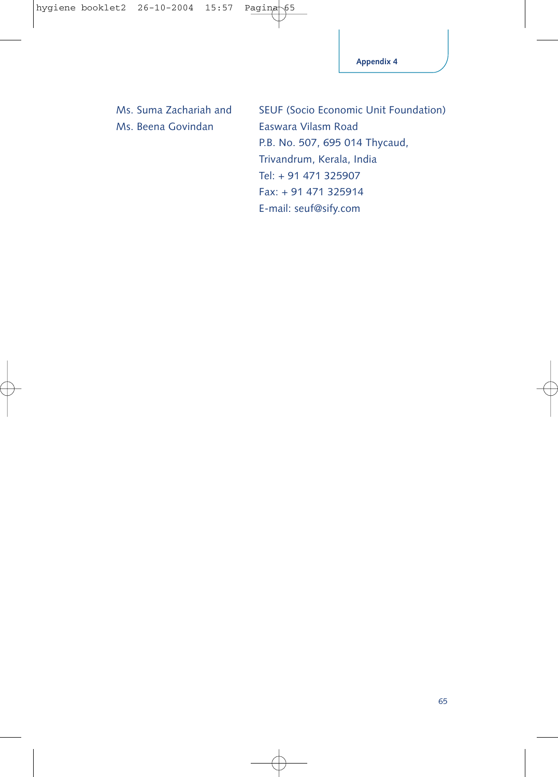hygiene booklet2 26-10-2004 15:57 Pagina

**Appendix 4**

Ms. Suma Zachariah and Ms. Beena Govindan

SEUF (Socio Economic Unit Foundation) Easwara Vilasm Road P.B. No. 507, 695 014 Thycaud, Trivandrum, Kerala, India Tel: + 91 471 325907 Fax: + 91 471 325914 E-mail: seuf@sify.com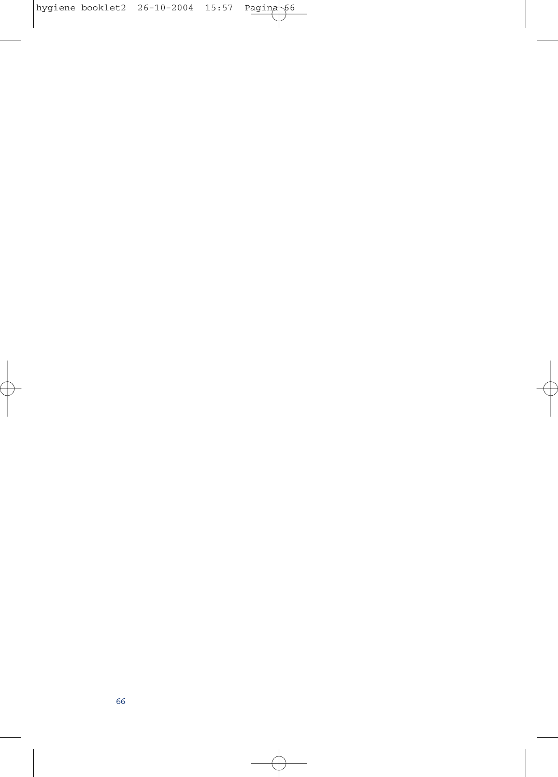hygiene booklet2 26-10-2004 15:57 Pagina 66

╬

 $\oplus$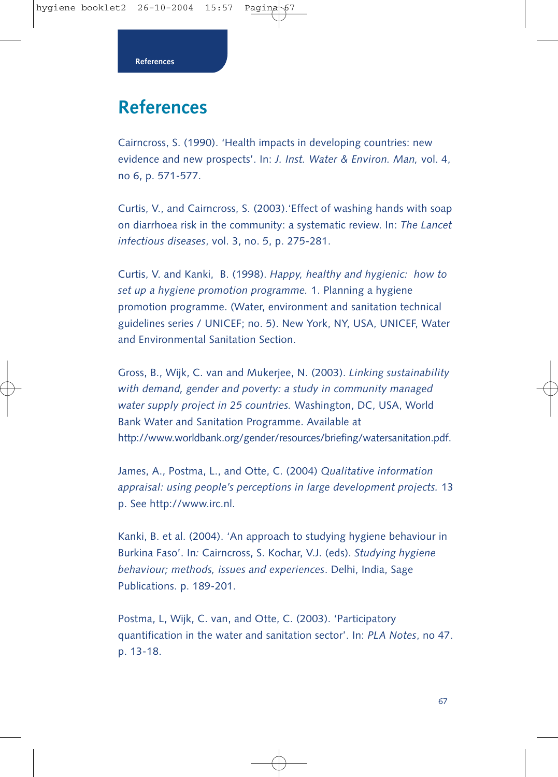

**References**

### **References**

Cairncross, S. (1990). 'Health impacts in developing countries: new evidence and new prospects'. In: *J. Inst. Water & Environ. Man,* vol. 4, no 6, p. 571-577.

Curtis, V., and Cairncross, S. (2003).'Effect of washing hands with soap on diarrhoea risk in the community: a systematic review. In: *The Lancet infectious diseases*, vol. 3, no. 5, p. 275-281.

Curtis, V. and Kanki, B. (1998). *Happy, healthy and hygienic: how to set up a hygiene promotion programme.* 1. Planning a hygiene promotion programme. (Water, environment and sanitation technical guidelines series / UNICEF; no. 5). New York, NY, USA, UNICEF, Water and Environmental Sanitation Section.

Gross, B., Wijk, C. van and Mukerjee, N. (2003). *Linking sustainability with demand, gender and poverty: a study in community managed water supply project in 25 countries.* Washington, DC, USA, World Bank Water and Sanitation Programme. Available at http://www.worldbank.org/gender/resources/briefing/watersanitation.pdf.

James, A., Postma, L., and Otte, C. (2004) *Qualitative information appraisal: using people's perceptions in large development projects.* 13 p. See http://www.irc.nl.

Kanki, B. et al. (2004). 'An approach to studying hygiene behaviour in Burkina Faso'. In*:* Cairncross, S. Kochar, V.J. (eds). *Studying hygiene behaviour; methods, issues and experiences*. Delhi, India, Sage Publications. p. 189-201.

Postma, L, Wijk, C. van, and Otte, C. (2003). 'Participatory quantification in the water and sanitation sector'. In: *PLA Notes*, no 47. p. 13-18.